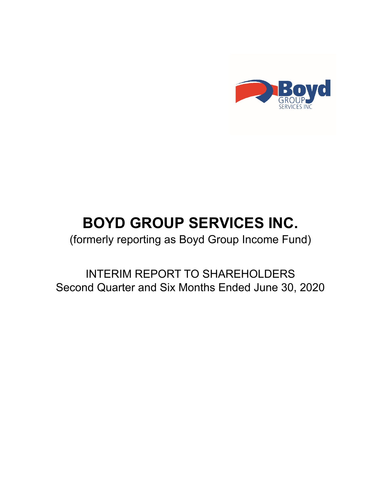

# **BOYD GROUP SERVICES INC.**

(formerly reporting as Boyd Group Income Fund)

INTERIM REPORT TO SHAREHOLDERS Second Quarter and Six Months Ended June 30, 2020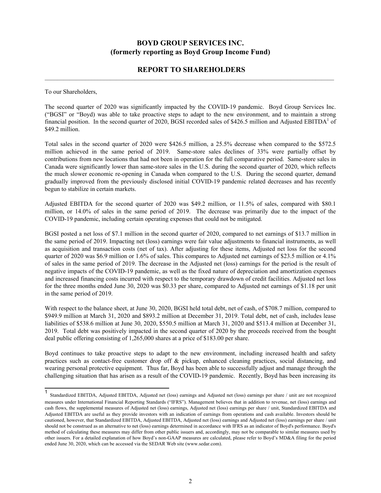### **BOYD GROUP SERVICES INC. (formerly reporting as Boyd Group Income Fund)**

#### $\mathcal{L}_\mathcal{L} = \{ \mathcal{L}_\mathcal{L} = \{ \mathcal{L}_\mathcal{L} = \{ \mathcal{L}_\mathcal{L} = \{ \mathcal{L}_\mathcal{L} = \{ \mathcal{L}_\mathcal{L} = \{ \mathcal{L}_\mathcal{L} = \{ \mathcal{L}_\mathcal{L} = \{ \mathcal{L}_\mathcal{L} = \{ \mathcal{L}_\mathcal{L} = \{ \mathcal{L}_\mathcal{L} = \{ \mathcal{L}_\mathcal{L} = \{ \mathcal{L}_\mathcal{L} = \{ \mathcal{L}_\mathcal{L} = \{ \mathcal{L}_\mathcal{$  **REPORT TO SHAREHOLDERS**

To our Shareholders,

The second quarter of 2020 was significantly impacted by the COVID-19 pandemic. Boyd Group Services Inc. ("BGSI" or "Boyd) was able to take proactive steps to adapt to the new environment, and to maintain a strong financial position. In the second quarter of 2020, BGSI recorded sales of \$426.5 million and Adjusted EBITDA<sup>1</sup> of \$49.2 million.

Total sales in the second quarter of 2020 were \$426.5 million, a 25.5% decrease when compared to the \$572.5 million achieved in the same period of 2019. Same-store sales declines of 33% were partially offset by contributions from new locations that had not been in operation for the full comparative period. Same-store sales in Canada were significantly lower than same-store sales in the U.S. during the second quarter of 2020, which reflects the much slower economic re-opening in Canada when compared to the U.S. During the second quarter, demand gradually improved from the previously disclosed initial COVID-19 pandemic related decreases and has recently begun to stabilize in certain markets.

Adjusted EBITDA for the second quarter of 2020 was \$49.2 million, or 11.5% of sales, compared with \$80.1 million, or 14.0% of sales in the same period of 2019. The decrease was primarily due to the impact of the COVID-19 pandemic, including certain operating expenses that could not be mitigated.

BGSI posted a net loss of \$7.1 million in the second quarter of 2020, compared to net earnings of \$13.7 million in the same period of 2019. Impacting net (loss) earnings were fair value adjustments to financial instruments, as well as acquisition and transaction costs (net of tax). After adjusting for these items, Adjusted net loss for the second quarter of 2020 was \$6.9 million or 1.6% of sales. This compares to Adjusted net earnings of \$23.5 million or 4.1% of sales in the same period of 2019. The decrease in the Adjusted net (loss) earnings for the period is the result of negative impacts of the COVID-19 pandemic, as well as the fixed nature of depreciation and amortization expenses and increased financing costs incurred with respect to the temporary drawdown of credit facilities. Adjusted net loss for the three months ended June 30, 2020 was \$0.33 per share, compared to Adjusted net earnings of \$1.18 per unit in the same period of 2019.

With respect to the balance sheet, at June 30, 2020, BGSI held total debt, net of cash, of \$708.7 million, compared to \$949.9 million at March 31, 2020 and \$893.2 million at December 31, 2019. Total debt, net of cash, includes lease liabilities of \$538.6 million at June 30, 2020, \$550.5 million at March 31, 2020 and \$513.4 million at December 31, 2019. Total debt was positively impacted in the second quarter of 2020 by the proceeds received from the bought deal public offering consisting of 1,265,000 shares at a price of \$183.00 per share.

Boyd continues to take proactive steps to adapt to the new environment, including increased health and safety practices such as contact-free customer drop off & pickup, enhanced cleaning practices, social distancing, and wearing personal protective equipment. Thus far, Boyd has been able to successfully adjust and manage through the challenging situation that has arisen as a result of the COVID-19 pandemic. Recently, Boyd has been increasing its

<sup>1</sup> Standardized EBITDA, Adjusted EBITDA, Adjusted net (loss) earnings and Adjusted net (loss) earnings per share / unit are not recognized measures under International Financial Reporting Standards ("IFRS"). Management believes that in addition to revenue, net (loss) earnings and cash flows, the supplemental measures of Adjusted net (loss) earnings, Adjusted net (loss) earnings per share / unit, Standardized EBITDA and Adjusted EBITDA are useful as they provide investors with an indication of earnings from operations and cash available. Investors should be cautioned, however, that Standardized EBITDA, Adjusted EBITDA, Adjusted net (loss) earnings and Adjusted net (loss) earnings per share / unit should not be construed as an alternative to net (loss) earnings determined in accordance with IFRS as an indicator of Boyd's performance. Boyd's method of calculating these measures may differ from other public issuers and, accordingly, may not be comparable to similar measures used by other issuers. For a detailed explanation of how Boyd's non-GAAP measures are calculated, please refer to Boyd's MD&A filing for the period ended June 30, 2020, which can be accessed via the SEDAR Web site (www.sedar.com).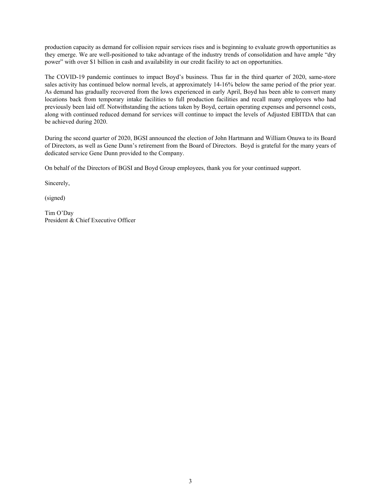production capacity as demand for collision repair services rises and is beginning to evaluate growth opportunities as they emerge. We are well-positioned to take advantage of the industry trends of consolidation and have ample "dry power" with over \$1 billion in cash and availability in our credit facility to act on opportunities.

The COVID-19 pandemic continues to impact Boyd's business. Thus far in the third quarter of 2020, same-store sales activity has continued below normal levels, at approximately 14-16% below the same period of the prior year. As demand has gradually recovered from the lows experienced in early April, Boyd has been able to convert many locations back from temporary intake facilities to full production facilities and recall many employees who had previously been laid off. Notwithstanding the actions taken by Boyd, certain operating expenses and personnel costs, along with continued reduced demand for services will continue to impact the levels of Adjusted EBITDA that can be achieved during 2020.

During the second quarter of 2020, BGSI announced the election of John Hartmann and William Onuwa to its Board of Directors, as well as Gene Dunn's retirement from the Board of Directors. Boyd is grateful for the many years of dedicated service Gene Dunn provided to the Company.

On behalf of the Directors of BGSI and Boyd Group employees, thank you for your continued support.

Sincerely,

(signed)

Tim O'Day President & Chief Executive Officer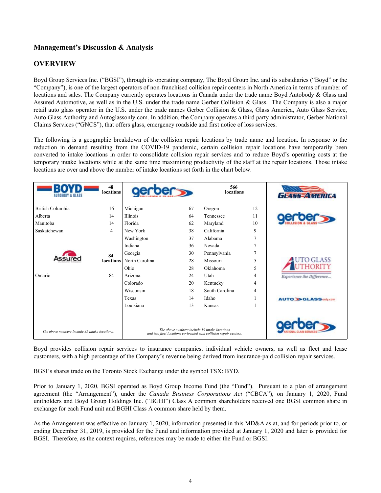### **Management's Discussion & Analysis**

### **OVERVIEW**

Boyd Group Services Inc. ("BGSI"), through its operating company, The Boyd Group Inc. and its subsidiaries ("Boyd" or the "Company"), is one of the largest operators of non-franchised collision repair centers in North America in terms of number of locations and sales. The Company currently operates locations in Canada under the trade name Boyd Autobody & Glass and Assured Automotive, as well as in the U.S. under the trade name Gerber Collision & Glass. The Company is also a major retail auto glass operator in the U.S. under the trade names Gerber Collision & Glass, Glass America, Auto Glass Service, Auto Glass Authority and Autoglassonly.com. In addition, the Company operates a third party administrator, Gerber National Claims Services ("GNCS"), that offers glass, emergency roadside and first notice of loss services.

The following is a geographic breakdown of the collision repair locations by trade name and location. In response to the reduction in demand resulting from the COVID-19 pandemic, certain collision repair locations have temporarily been converted to intake locations in order to consolidate collision repair services and to reduce Boyd's operating costs at the temporary intake locations while at the same time maximizing productivity of the staff at the repair locations. Those intake locations are over and above the number of intake locations set forth in the chart below.

|                                                | 48<br>locations |                                 |    | 566<br>locations                                                                                                   |    | <b>GLASS-AMERICA</b>             |
|------------------------------------------------|-----------------|---------------------------------|----|--------------------------------------------------------------------------------------------------------------------|----|----------------------------------|
| <b>British Columbia</b>                        | 16              | Michigan                        | 67 | Oregon                                                                                                             | 12 |                                  |
| Alberta                                        | 14              | Illinois                        | 64 | Tennessee                                                                                                          | 11 |                                  |
| Manitoba                                       | 14              | Florida                         | 62 | Maryland                                                                                                           | 10 |                                  |
| Saskatchewan                                   | 4               | New York                        | 38 | California                                                                                                         | 9  |                                  |
|                                                |                 | Washington                      | 37 | Alabama                                                                                                            | 7  |                                  |
|                                                |                 | Indiana                         | 36 | Nevada                                                                                                             | 7  |                                  |
|                                                | 84              | Georgia                         | 30 | Pennsylvania                                                                                                       | 7  |                                  |
|                                                |                 | <b>locations</b> North Carolina | 28 | Missouri                                                                                                           | 5  |                                  |
|                                                |                 | Ohio                            | 28 | Oklahoma                                                                                                           | 5  |                                  |
| Ontario                                        | 84              | Arizona                         | 24 | Utah                                                                                                               | 4  | Experience the Difference        |
|                                                |                 | Colorado                        | 20 | Kentucky                                                                                                           | 4  |                                  |
|                                                |                 | Wisconsin                       | 18 | South Carolina                                                                                                     | 4  |                                  |
|                                                |                 | Texas                           | 14 | Idaho                                                                                                              |    | <b>AUTO &amp; GLASS only.com</b> |
|                                                |                 | Louisiana                       | 13 | Kansas                                                                                                             |    |                                  |
| The above numbers include 35 intake locations. |                 |                                 |    | The above numbers include 19 intake locations<br>and two fleet locations co-located with collision repair centers. |    |                                  |

Boyd provides collision repair services to insurance companies, individual vehicle owners, as well as fleet and lease customers, with a high percentage of the Company's revenue being derived from insurance-paid collision repair services.

BGSI's shares trade on the Toronto Stock Exchange under the symbol TSX: BYD.

Prior to January 1, 2020, BGSI operated as Boyd Group Income Fund (the "Fund"). Pursuant to a plan of arrangement agreement (the "Arrangement"), under the *Canada Business Corporations Act* ("CBCA"), on January 1, 2020, Fund unitholders and Boyd Group Holdings Inc. ("BGHI") Class A common shareholders received one BGSI common share in exchange for each Fund unit and BGHI Class A common share held by them.

As the Arrangement was effective on January 1, 2020, information presented in this MD&A as at, and for periods prior to, or ending December 31, 2019, is provided for the Fund and information provided at January 1, 2020 and later is provided for BGSI. Therefore, as the context requires, references may be made to either the Fund or BGSI.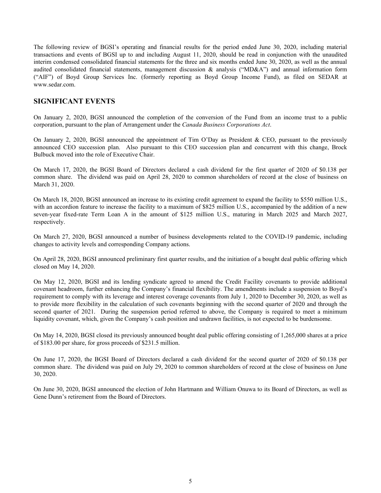The following review of BGSI's operating and financial results for the period ended June 30, 2020, including material transactions and events of BGSI up to and including August 11, 2020, should be read in conjunction with the unaudited interim condensed consolidated financial statements for the three and six months ended June 30, 2020, as well as the annual audited consolidated financial statements, management discussion & analysis ("MD&A") and annual information form ("AIF") of Boyd Group Services Inc. (formerly reporting as Boyd Group Income Fund), as filed on SEDAR at www.sedar.com.

### **SIGNIFICANT EVENTS**

On January 2, 2020, BGSI announced the completion of the conversion of the Fund from an income trust to a public corporation, pursuant to the plan of Arrangement under the *Canada Business Corporations Act*.

On January 2, 2020, BGSI announced the appointment of Tim O'Day as President & CEO, pursuant to the previously announced CEO succession plan. Also pursuant to this CEO succession plan and concurrent with this change, Brock Bulbuck moved into the role of Executive Chair.

On March 17, 2020, the BGSI Board of Directors declared a cash dividend for the first quarter of 2020 of \$0.138 per common share. The dividend was paid on April 28, 2020 to common shareholders of record at the close of business on March 31, 2020.

On March 18, 2020, BGSI announced an increase to its existing credit agreement to expand the facility to \$550 million U.S., with an accordion feature to increase the facility to a maximum of \$825 million U.S., accompanied by the addition of a new seven-year fixed-rate Term Loan A in the amount of \$125 million U.S., maturing in March 2025 and March 2027, respectively.

On March 27, 2020, BGSI announced a number of business developments related to the COVID-19 pandemic, including changes to activity levels and corresponding Company actions.

On April 28, 2020, BGSI announced preliminary first quarter results, and the initiation of a bought deal public offering which closed on May 14, 2020.

On May 12, 2020, BGSI and its lending syndicate agreed to amend the Credit Facility covenants to provide additional covenant headroom, further enhancing the Company's financial flexibility. The amendments include a suspension to Boyd's requirement to comply with its leverage and interest coverage covenants from July 1, 2020 to December 30, 2020, as well as to provide more flexibility in the calculation of such covenants beginning with the second quarter of 2020 and through the second quarter of 2021. During the suspension period referred to above, the Company is required to meet a minimum liquidity covenant, which, given the Company's cash position and undrawn facilities, is not expected to be burdensome.

On May 14, 2020, BGSI closed its previously announced bought deal public offering consisting of 1,265,000 shares at a price of \$183.00 per share, for gross proceeds of \$231.5 million.

On June 17, 2020, the BGSI Board of Directors declared a cash dividend for the second quarter of 2020 of \$0.138 per common share. The dividend was paid on July 29, 2020 to common shareholders of record at the close of business on June 30, 2020.

On June 30, 2020, BGSI announced the election of John Hartmann and William Onuwa to its Board of Directors, as well as Gene Dunn's retirement from the Board of Directors.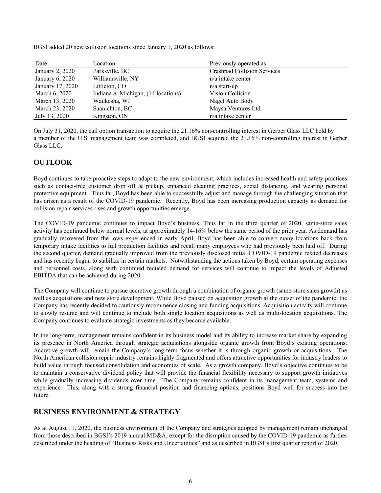BGSI added 20 new collision locations since January 1, 2020 as follows:

| Date             | Location                             | Previously operated as      |
|------------------|--------------------------------------|-----------------------------|
| January 2, 2020  | Parksville, BC                       | Crashpad Collision Services |
| January 6, 2020  | Williamsville, NY                    | $n/a$ intake center         |
| January 17, 2020 | Littleton, CO                        | $n/a$ start-up              |
| March 6, 2020    | Indiana & Michigan, $(14$ locations) | Vision Collision            |
| March 13, 2020   | Waukesha, WI                         | Nagel Auto Body             |
| March 23, 2020   | Saanichton, BC                       | Maysa Ventures Ltd.         |
| July 13, 2020    | Kingston, ON                         | $n/a$ intake center         |

On July 31, 2020, the call option transaction to acquire the 21.16% non-controlling interest in Gerber Glass LLC held by a member of the U.S. management team was completed, and BGSI acquired the 21.16% non-controlling interest in Gerber Glass LLC.

### **OUTLOOK**

Boyd continues to take proactive steps to adapt to the new environment, which includes increased health and safety practices such as contact-free customer drop off & pickup, enhanced cleaning practices, social distancing, and wearing personal protective equipment. Thus far, Boyd has been able to successfully adjust and manage through the challenging situation that has arisen as a result of the COVID-19 pandemic. Recently, Boyd has been increasing production capacity as demand for collision repair services rises and growth opportunities emerge.

The COVID-19 pandemic continues to impact Boyd's business. Thus far in the third quarter of 2020, same-store sales activity has continued below normal levels, at approximately 14-16% below the same period of the prior year. As demand has gradually recovered from the lows experienced in early April, Boyd has been able to convert many locations back from temporary intake facilities to full production facilities and recall many employees who had previously been laid off. During the second quarter, demand gradually improved from the previously disclosed initial COVID-19 pandemic related decreases and has recently begun to stabilize in certain markets. Notwithstanding the actions taken by Boyd, certain operating expenses and personnel costs, along with continued reduced demand for services will continue to impact the levels of Adjusted EBITDA that can be achieved during 2020.

The Company will continue to pursue accretive growth through a combination of organic growth (same-store sales growth) as well as acquisitions and new store development. While Boyd paused on acquisition growth at the outset of the pandemic, the Company has recently decided to cautiously recommence closing and funding acquisitions. Acquisition activity will continue to slowly resume and will continue to include both single location acquisitions as well as multi-location acquisitions. The Company continues to evaluate strategic investments as they become available.

In the long-term, management remains confident in its business model and its ability to increase market share by expanding its presence in North America through strategic acquisitions alongside organic growth from Boyd's existing operations. Accretive growth will remain the Company's long-term focus whether it is through organic growth or acquisitions. The North American collision repair industry remains highly fragmented and offers attractive opportunities for industry leaders to build value through focused consolidation and economies of scale. As a growth company, Boyd's objective continues to be to maintain a conservative dividend policy that will provide the financial flexibility necessary to support growth initiatives while gradually increasing dividends over time. The Company remains confident in its management team, systems and experience. This, along with a strong financial position and financing options, positions Boyd well for success into the future.

### **BUSINESS ENVIRONMENT & STRATEGY**

As at August 11, 2020, the business environment of the Company and strategies adopted by management remain unchanged from those described in BGSI's 2019 annual MD&A, except for the disruption caused by the COVID-19 pandemic as further described under the heading of "Business Risks and Uncertainties" and as described in BGSI's first quarter report of 2020.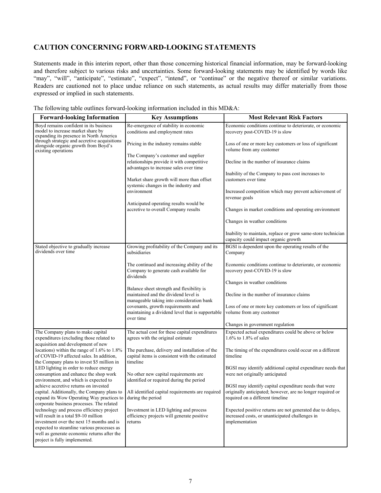### **CAUTION CONCERNING FORWARD-LOOKING STATEMENTS**

Statements made in this interim report, other than those concerning historical financial information, may be forward-looking and therefore subject to various risks and uncertainties. Some forward-looking statements may be identified by words like "may", "will", "anticipate", "estimate", "expect", "intend", or "continue" or the negative thereof or similar variations. Readers are cautioned not to place undue reliance on such statements, as actual results may differ materially from those expressed or implied in such statements.

| <b>Forward-looking Information</b>                                                                                                                                            | <b>Key Assumptions</b>                                                                                       | <b>Most Relevant Risk Factors</b>                                                                                               |  |  |  |  |  |
|-------------------------------------------------------------------------------------------------------------------------------------------------------------------------------|--------------------------------------------------------------------------------------------------------------|---------------------------------------------------------------------------------------------------------------------------------|--|--|--|--|--|
| Boyd remains confident in its business<br>model to increase market share by<br>expanding its presence in North America                                                        | Re-emergence of stability in economic<br>conditions and employment rates                                     | Economic conditions continue to deteriorate, or economic<br>recovery post-COVID-19 is slow                                      |  |  |  |  |  |
| through strategic and accretive acquisitions<br>alongside organic growth from Boyd's<br>existing operations                                                                   | Pricing in the industry remains stable<br>The Company's customer and supplier                                | Loss of one or more key customers or loss of significant<br>volume from any customer                                            |  |  |  |  |  |
|                                                                                                                                                                               | relationships provide it with competitive<br>advantages to increase sales over time                          | Decline in the number of insurance claims                                                                                       |  |  |  |  |  |
|                                                                                                                                                                               | Market share growth will more than offset<br>systemic changes in the industry and                            | Inability of the Company to pass cost increases to<br>customers over time                                                       |  |  |  |  |  |
|                                                                                                                                                                               | environment                                                                                                  | Increased competition which may prevent achievement of<br>revenue goals                                                         |  |  |  |  |  |
|                                                                                                                                                                               | Anticipated operating results would be<br>accretive to overall Company results                               | Changes in market conditions and operating environment                                                                          |  |  |  |  |  |
|                                                                                                                                                                               |                                                                                                              | Changes in weather conditions                                                                                                   |  |  |  |  |  |
|                                                                                                                                                                               |                                                                                                              | Inability to maintain, replace or grow same-store technician<br>capacity could impact organic growth                            |  |  |  |  |  |
| Stated objective to gradually increase<br>dividends over time                                                                                                                 | Growing profitability of the Company and its<br>subsidiaries                                                 | BGSI is dependent upon the operating results of the<br>Company                                                                  |  |  |  |  |  |
|                                                                                                                                                                               | The continued and increasing ability of the<br>Company to generate cash available for<br>dividends           | Economic conditions continue to deteriorate, or economic<br>recovery post-COVID-19 is slow                                      |  |  |  |  |  |
|                                                                                                                                                                               | Balance sheet strength and flexibility is                                                                    | Changes in weather conditions                                                                                                   |  |  |  |  |  |
|                                                                                                                                                                               | maintained and the dividend level is<br>manageable taking into consideration bank                            | Decline in the number of insurance claims                                                                                       |  |  |  |  |  |
|                                                                                                                                                                               | covenants, growth requirements and<br>maintaining a dividend level that is supportable                       | Loss of one or more key customers or loss of significant<br>volume from any customer                                            |  |  |  |  |  |
|                                                                                                                                                                               | over time                                                                                                    | Changes in government regulation                                                                                                |  |  |  |  |  |
| The Company plans to make capital                                                                                                                                             | The actual cost for these capital expenditures                                                               | Expected actual expenditures could be above or below<br>1.6% to 1.8% of sales                                                   |  |  |  |  |  |
| expenditures (excluding those related to<br>acquisition and development of new                                                                                                | agrees with the original estimate                                                                            |                                                                                                                                 |  |  |  |  |  |
| locations) within the range of 1.6% to 1.8%<br>of COVID-19 affected sales. In addition,<br>the Company plans to invest \$5 million in                                         | The purchase, delivery and installation of the<br>capital items is consistent with the estimated<br>timeline | The timing of the expenditures could occur on a different<br>timeline                                                           |  |  |  |  |  |
| LED lighting in order to reduce energy<br>consumption and enhance the shop work                                                                                               | No other new capital requirements are                                                                        | BGSI may identify additional capital expenditure needs that<br>were not originally anticipated                                  |  |  |  |  |  |
| environment, and which is expected to<br>achieve accretive returns on invested                                                                                                | identified or required during the period                                                                     | BGSI may identify capital expenditure needs that were                                                                           |  |  |  |  |  |
| capital. Additionally, the Company plans to<br>expand its Wow Operating Way practices to<br>corporate business processes. The related                                         | All identified capital requirements are required<br>during the period                                        | originally anticipated; however, are no longer required or<br>required on a different timeline                                  |  |  |  |  |  |
| technology and process efficiency project<br>will result in a total \$9-10 million<br>investment over the next 15 months and is<br>expected to steamline various processes as | Investment in LED lighting and process<br>efficiency projects will generate positive<br>returns              | Expected positive returns are not generated due to delays,<br>increased costs, or unanticipated challenges in<br>implementation |  |  |  |  |  |
| well as generate economic returns after the<br>project is fully implemented.                                                                                                  |                                                                                                              |                                                                                                                                 |  |  |  |  |  |

The following table outlines forward-looking information included in this MD&A: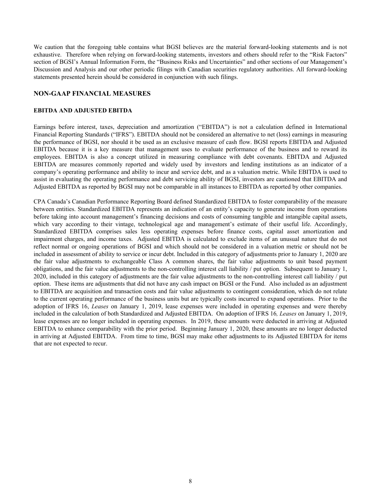We caution that the foregoing table contains what BGSI believes are the material forward-looking statements and is not exhaustive. Therefore when relying on forward-looking statements, investors and others should refer to the "Risk Factors" section of BGSI's Annual Information Form, the "Business Risks and Uncertainties" and other sections of our Management's Discussion and Analysis and our other periodic filings with Canadian securities regulatory authorities. All forward-looking statements presented herein should be considered in conjunction with such filings.

#### **NON-GAAP FINANCIAL MEASURES**

#### **EBITDA AND ADJUSTED EBITDA**

Earnings before interest, taxes, depreciation and amortization ("EBITDA") is not a calculation defined in International Financial Reporting Standards ("IFRS"). EBITDA should not be considered an alternative to net (loss) earnings in measuring the performance of BGSI, nor should it be used as an exclusive measure of cash flow. BGSI reports EBITDA and Adjusted EBITDA because it is a key measure that management uses to evaluate performance of the business and to reward its employees. EBITDA is also a concept utilized in measuring compliance with debt covenants. EBITDA and Adjusted EBITDA are measures commonly reported and widely used by investors and lending institutions as an indicator of a company's operating performance and ability to incur and service debt, and as a valuation metric. While EBITDA is used to assist in evaluating the operating performance and debt servicing ability of BGSI, investors are cautioned that EBITDA and Adjusted EBITDA as reported by BGSI may not be comparable in all instances to EBITDA as reported by other companies.

CPA Canada's Canadian Performance Reporting Board defined Standardized EBITDA to foster comparability of the measure between entities. Standardized EBITDA represents an indication of an entity's capacity to generate income from operations before taking into account management's financing decisions and costs of consuming tangible and intangible capital assets, which vary according to their vintage, technological age and management's estimate of their useful life. Accordingly, Standardized EBITDA comprises sales less operating expenses before finance costs, capital asset amortization and impairment charges, and income taxes. Adjusted EBITDA is calculated to exclude items of an unusual nature that do not reflect normal or ongoing operations of BGSI and which should not be considered in a valuation metric or should not be included in assessment of ability to service or incur debt. Included in this category of adjustments prior to January 1, 2020 are the fair value adjustments to exchangeable Class A common shares, the fair value adjustments to unit based payment obligations, and the fair value adjustments to the non-controlling interest call liability / put option. Subsequent to January 1, 2020, included in this category of adjustments are the fair value adjustments to the non-controlling interest call liability / put option. These items are adjustments that did not have any cash impact on BGSI or the Fund. Also included as an adjustment to EBITDA are acquisition and transaction costs and fair value adjustments to contingent consideration, which do not relate to the current operating performance of the business units but are typically costs incurred to expand operations. Prior to the adoption of IFRS 16, *Leases* on January 1, 2019, lease expenses were included in operating expenses and were thereby included in the calculation of both Standardized and Adjusted EBITDA. On adoption of IFRS 16*, Leases* on January 1, 2019, lease expenses are no longer included in operating expenses. In 2019, these amounts were deducted in arriving at Adjusted EBITDA to enhance comparability with the prior period. Beginning January 1, 2020, these amounts are no longer deducted in arriving at Adjusted EBITDA. From time to time, BGSI may make other adjustments to its Adjusted EBITDA for items that are not expected to recur.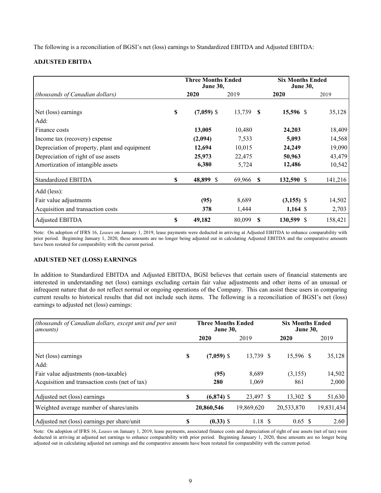The following is a reconciliation of BGSI's net (loss) earnings to Standardized EBITDA and Adjusted EBITDA:

#### **ADJUSTED EBITDA**

|                                               | <b>Three Months Ended</b><br><b>June 30,</b> |           | <b>Six Months Ended</b><br><b>June 30,</b> |              |      |         |  |  |
|-----------------------------------------------|----------------------------------------------|-----------|--------------------------------------------|--------------|------|---------|--|--|
| <i>(thousands of Canadian dollars)</i>        | 2020                                         | 2019      |                                            | 2020         | 2019 |         |  |  |
| Net (loss) earnings<br>Add:                   | \$<br>$(7,059)$ \$                           | 13,739 \$ |                                            | 15,596 \$    |      | 35,128  |  |  |
| Finance costs                                 | 13,005                                       | 10,480    |                                            | 24,203       |      | 18,409  |  |  |
| Income tax (recovery) expense                 | (2,094)                                      | 7,533     |                                            | 5,093        |      | 14,568  |  |  |
| Depreciation of property, plant and equipment | 12,694                                       | 10,015    |                                            | 24,249       |      | 19,090  |  |  |
| Depreciation of right of use assets           | 25,973                                       | 22,475    |                                            | 50,963       |      | 43,479  |  |  |
| Amortization of intangible assets             | 6,380                                        | 5,724     |                                            | 12,486       |      | 10,542  |  |  |
| <b>Standardized EBITDA</b>                    | \$<br>48,899 \$                              | 69,966 \$ |                                            | 132,590 \$   |      | 141,216 |  |  |
| Add (less):                                   |                                              |           |                                            |              |      |         |  |  |
| Fair value adjustments                        | (95)                                         | 8,689     |                                            | $(3,155)$ \$ |      | 14,502  |  |  |
| Acquisition and transaction costs             | 378                                          | 1,444     |                                            | $1,164$ \$   |      | 2,703   |  |  |
| Adjusted EBITDA                               | \$<br>49,182                                 | 80,099    | S                                          | 130,599 \$   |      | 158,421 |  |  |

Note: On adoption of IFRS 16, *Leases* on January 1, 2019, lease payments were deducted in arriving at Adjusted EBITDA to enhance comparability with prior period. Beginning January 1, 2020, these amounts are no longer being adjusted out in calculating Adjusted EBITDA and the comparative amounts have been restated for comparability with the current period.

#### **ADJUSTED NET (LOSS) EARNINGS**

In addition to Standardized EBITDA and Adjusted EBITDA, BGSI believes that certain users of financial statements are interested in understanding net (loss) earnings excluding certain fair value adjustments and other items of an unusual or infrequent nature that do not reflect normal or ongoing operations of the Company. This can assist these users in comparing current results to historical results that did not include such items. The following is a reconciliation of BGSI's net (loss) earnings to adjusted net (loss) earnings:

| (thousands of Canadian dollars, except unit and per unit<br>(amounts) | <b>Three Months Ended</b><br><b>June 30,</b> |            | <b>Six Months Ended</b><br><b>June 30,</b> |            |  |  |
|-----------------------------------------------------------------------|----------------------------------------------|------------|--------------------------------------------|------------|--|--|
|                                                                       | 2020                                         | 2019       | 2020                                       | 2019       |  |  |
| S<br>Net (loss) earnings<br>Add:                                      | $(7,059)$ \$                                 | 13,739 \$  | 15,596 \$                                  | 35,128     |  |  |
| Fair value adjustments (non-taxable)                                  | (95)                                         | 8,689      | (3,155)                                    | 14,502     |  |  |
| Acquisition and transaction costs (net of tax)                        | 280                                          | 1,069      | 861                                        | 2,000      |  |  |
| Adjusted net (loss) earnings<br>S                                     | $(6,874)$ \$                                 | 23,497 \$  | 13,302 \$                                  | 51,630     |  |  |
| Weighted average number of shares/units                               | 20,860,546                                   | 19.869.620 | 20,533,870                                 | 19,831,434 |  |  |
| S<br>Adjusted net (loss) earnings per share/unit                      | $(0.33)$ \$                                  | 1.18S      | 0.65 S                                     | 2.60       |  |  |

Note: On adoption of IFRS 16, *Leases* on January 1, 2019, lease payments, associated finance costs and depreciation of right of use assets (net of tax) were deducted in arriving at adjusted net earnings to enhance comparability with prior period. Beginning January 1, 2020, these amounts are no longer being adjusted out in calculating adjusted net earnings and the comparative amounts have been restated for comparability with the current period.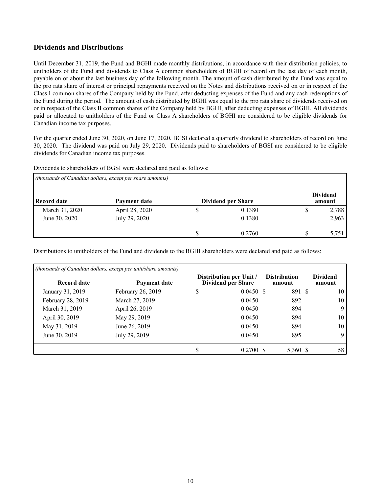### **Dividends and Distributions**

Until December 31, 2019, the Fund and BGHI made monthly distributions, in accordance with their distribution policies, to unitholders of the Fund and dividends to Class A common shareholders of BGHI of record on the last day of each month, payable on or about the last business day of the following month. The amount of cash distributed by the Fund was equal to the pro rata share of interest or principal repayments received on the Notes and distributions received on or in respect of the Class I common shares of the Company held by the Fund, after deducting expenses of the Fund and any cash redemptions of the Fund during the period. The amount of cash distributed by BGHI was equal to the pro rata share of dividends received on or in respect of the Class II common shares of the Company held by BGHI, after deducting expenses of BGHI. All dividends paid or allocated to unitholders of the Fund or Class A shareholders of BGHI are considered to be eligible dividends for Canadian income tax purposes.

For the quarter ended June 30, 2020, on June 17, 2020, BGSI declared a quarterly dividend to shareholders of record on June 30, 2020. The dividend was paid on July 29, 2020. Dividends paid to shareholders of BGSI are considered to be eligible dividends for Canadian income tax purposes.

Dividends to shareholders of BGSI were declared and paid as follows:

|                | (thousands of Canadian dollars, except per share amounts) |                    |                           |
|----------------|-----------------------------------------------------------|--------------------|---------------------------|
| Record date    | Payment date                                              | Dividend per Share | <b>Dividend</b><br>amount |
| March 31, 2020 | April 28, 2020                                            | 0.1380             | 2,788                     |
| June 30, 2020  | July 29, 2020                                             | 0.1380             | 2,963                     |
|                |                                                           | 0.2760             | 5,751                     |

Distributions to unitholders of the Fund and dividends to the BGHI shareholders were declared and paid as follows:

|                   | (thousands of Canadian dollars, except per unit/share amounts) |   |                                                      |                               |                           |
|-------------------|----------------------------------------------------------------|---|------------------------------------------------------|-------------------------------|---------------------------|
| Record date       | Payment date                                                   |   | Distribution per Unit /<br><b>Dividend per Share</b> | <b>Distribution</b><br>amount | <b>Dividend</b><br>amount |
| January 31, 2019  | February 26, 2019                                              | S | $0.0450$ \$                                          | 891 \$                        | 10                        |
| February 28, 2019 | March 27, 2019                                                 |   | 0.0450                                               | 892                           | 10                        |
| March 31, 2019    | April 26, 2019                                                 |   | 0.0450                                               | 894                           | 9                         |
| April 30, 2019    | May 29, 2019                                                   |   | 0.0450                                               | 894                           | 10                        |
| May 31, 2019      | June 26, 2019                                                  |   | 0.0450                                               | 894                           | 10                        |
| June 30, 2019     | July 29, 2019                                                  |   | 0.0450                                               | 895                           | 9                         |
|                   |                                                                |   | 0.2700 S                                             | 5,360 \$                      | 58                        |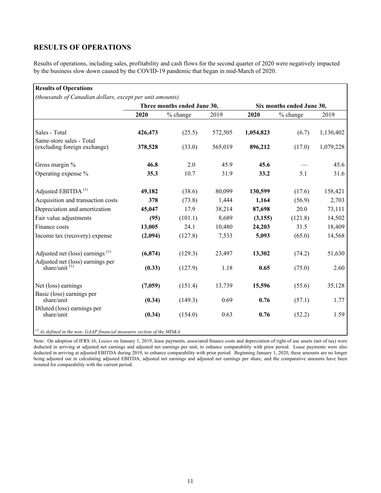### **RESULTS OF OPERATIONS**

Results of operations, including sales, profitability and cash flows for the second quarter of 2020 were negatively impacted by the business slow down caused by the COVID-19 pandemic that began in mid-March of 2020.

| <b>Results of Operations</b>                             |          |                             |         |           |                           |           |
|----------------------------------------------------------|----------|-----------------------------|---------|-----------|---------------------------|-----------|
| (thousands of Canadian dollars, except per unit amounts) |          |                             |         |           |                           |           |
|                                                          |          | Three months ended June 30, |         |           | Six months ended June 30, |           |
|                                                          | 2020     | % change                    | 2019    | 2020      | % change                  | 2019      |
| Sales - Total                                            | 426,473  | (25.5)                      | 572,505 | 1,054,823 | (6.7)                     | 1,130,402 |
| Same-store sales - Total<br>(excluding foreign exchange) | 378,528  | (33.0)                      | 565,019 | 896,212   | (17.0)                    | 1,079,228 |
| Gross margin %                                           | 46.8     | 2.0                         | 45.9    | 45.6      |                           | 45.6      |
| Operating expense %                                      | 35.3     | 10.7                        | 31.9    | 33.2      | 5.1                       | 31.6      |
| Adjusted EBITDA $^{(1)}$                                 | 49,182   | (38.6)                      | 80,099  | 130,599   | (17.6)                    | 158,421   |
| Acquisition and transaction costs                        | 378      | (73.8)                      | 1,444   | 1,164     | (56.9)                    | 2,703     |
| Depreciation and amortization                            | 45,047   | 17.9                        | 38,214  | 87,698    | 20.0                      | 73,111    |
| Fair value adjustments                                   | (95)     | (101.1)                     | 8,689   | (3, 155)  | (121.8)                   | 14,502    |
| Finance costs                                            | 13,005   | 24.1                        | 10,480  | 24,203    | 31.5                      | 18,409    |
| Income tax (recovery) expense                            | (2,094)  | (127.8)                     | 7,533   | 5,093     | (65.0)                    | 14,568    |
| Adjusted net (loss) earnings $^{(1)}$                    | (6, 874) | (129.3)                     | 23,497  | 13,302    | (74.2)                    | 51,630    |
| Adjusted net (loss) earnings per share/unit $(1)$        | (0.33)   | (127.9)                     | 1.18    | 0.65      | (75.0)                    | 2.60      |
| Net (loss) earnings                                      | (7,059)  | (151.4)                     | 13,739  | 15,596    | (55.6)                    | 35,128    |
| Basic (loss) earnings per<br>share/unit                  | (0.34)   | (149.3)                     | 0.69    | 0.76      | (57.1)                    | 1.77      |
| Diluted (loss) earnings per<br>share/unit                | (0.34)   | (154.0)                     | 0.63    | 0.76      | (52.2)                    | 1.59      |

Note: On adoption of IFRS 16, *Leases* on January 1, 2019, lease payments, associated finance costs and depreciation of right of use assets (net of tax) were deducted in arriving at adjusted net earnings and adjusted net earnings per unit, to enhance comparability with prior period. Lease payments were also deducted in arriving at adjusted EBITDA during 2019, to enhance comparability with prior period. Beginning January 1, 2020, these amounts are no longer being adjusted out in calculating adjusted EBITDA, adjusted net earnings and adjusted net earnings per share, and the comparative amounts have been restated for comparability with the current period.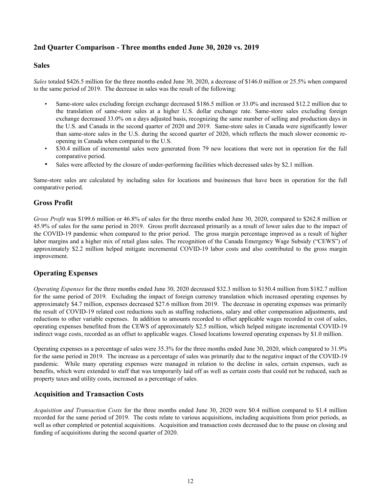### **2nd Quarter Comparison - Three months ended June 30, 2020 vs. 2019**

#### **Sales**

*Sales* totaled \$426.5 million for the three months ended June 30, 2020, a decrease of \$146.0 million or 25.5% when compared to the same period of 2019. The decrease in sales was the result of the following:

- Same-store sales excluding foreign exchange decreased \$186.5 million or 33.0% and increased \$12.2 million due to the translation of same-store sales at a higher U.S. dollar exchange rate. Same-store sales excluding foreign exchange decreased 33.0% on a days adjusted basis, recognizing the same number of selling and production days in the U.S. and Canada in the second quarter of 2020 and 2019. Same-store sales in Canada were significantly lower than same-store sales in the U.S. during the second quarter of 2020, which reflects the much slower economic reopening in Canada when compared to the U.S.
- \$30.4 million of incremental sales were generated from 79 new locations that were not in operation for the full comparative period.
- Sales were affected by the closure of under-performing facilities which decreased sales by \$2.1 million.

Same-store sales are calculated by including sales for locations and businesses that have been in operation for the full comparative period.

### **Gross Profit**

*Gross Profit* was \$199.6 million or 46.8% of sales for the three months ended June 30, 2020, compared to \$262.8 million or 45.9% of sales for the same period in 2019. Gross profit decreased primarily as a result of lower sales due to the impact of the COVID-19 pandemic when compared to the prior period. The gross margin percentage improved as a result of higher labor margins and a higher mix of retail glass sales. The recognition of the Canada Emergency Wage Subsidy ("CEWS") of approximately \$2.2 million helped mitigate incremental COVID-19 labor costs and also contributed to the gross margin improvement.

#### **Operating Expenses**

*Operating Expenses* for the three months ended June 30, 2020 decreased \$32.3 million to \$150.4 million from \$182.7 million for the same period of 2019. Excluding the impact of foreign currency translation which increased operating expenses by approximately \$4.7 million, expenses decreased \$27.6 million from 2019. The decrease in operating expenses was primarily the result of COVID-19 related cost reductions such as staffing reductions, salary and other compensation adjustments, and reductions to other variable expenses. In addition to amounts recorded to offset applicable wages recorded in cost of sales, operating expenses benefited from the CEWS of approximately \$2.5 million, which helped mitigate incremental COVID-19 indirect wage costs, recorded as an offset to applicable wages. Closed locations lowered operating expenses by \$1.0 million.

Operating expenses as a percentage of sales were 35.3% for the three months ended June 30, 2020, which compared to 31.9% for the same period in 2019. The increase as a percentage of sales was primarily due to the negative impact of the COVID-19 pandemic. While many operating expenses were managed in relation to the decline in sales, certain expenses, such as benefits, which were extended to staff that was temporarily laid off as well as certain costs that could not be reduced, such as property taxes and utility costs, increased as a percentage of sales.

#### **Acquisition and Transaction Costs**

*Acquisition and Transaction Costs* for the three months ended June 30, 2020 were \$0.4 million compared to \$1.4 million recorded for the same period of 2019. The costs relate to various acquisitions, including acquisitions from prior periods, as well as other completed or potential acquisitions. Acquisition and transaction costs decreased due to the pause on closing and funding of acquisitions during the second quarter of 2020.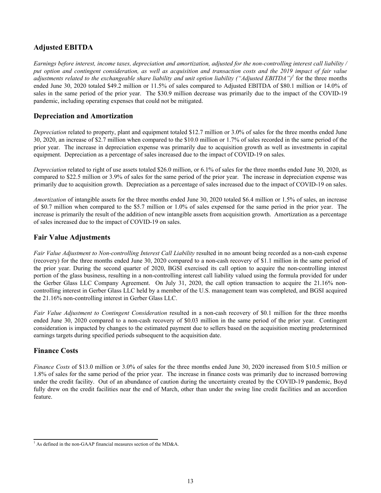### **Adjusted EBITDA**

*Earnings before interest, income taxes, depreciation and amortization, adjusted for the non-controlling interest call liability / put option and contingent consideration, as well as acquisition and transaction costs and the 2019 impact of fair value adjustments related to the exchangeable share liability and unit option liability ("Adjusted EBITDA")<sup>1</sup>* for the three months ended June 30, 2020 totaled \$49.2 million or 11.5% of sales compared to Adjusted EBITDA of \$80.1 million or 14.0% of sales in the same period of the prior year. The \$30.9 million decrease was primarily due to the impact of the COVID-19 pandemic, including operating expenses that could not be mitigated.

### **Depreciation and Amortization**

*Depreciation* related to property, plant and equipment totaled \$12.7 million or 3.0% of sales for the three months ended June 30, 2020, an increase of \$2.7 million when compared to the \$10.0 million or 1.7% of sales recorded in the same period of the prior year. The increase in depreciation expense was primarily due to acquisition growth as well as investments in capital equipment.Depreciation as a percentage of sales increased due to the impact of COVID-19 on sales.

*Depreciation* related to right of use assets totaled \$26.0 million, or 6.1% of sales for the three months ended June 30, 2020, as compared to \$22.5 million or 3.9% of sales for the same period of the prior year. The increase in depreciation expense was primarily due to acquisition growth. Depreciation as a percentage of sales increased due to the impact of COVID-19 on sales.

*Amortization* of intangible assets for the three months ended June 30, 2020 totaled \$6.4 million or 1.5% of sales, an increase of \$0.7 million when compared to the \$5.7 million or 1.0% of sales expensed for the same period in the prior year. The increase is primarily the result of the addition of new intangible assets from acquisition growth. Amortization as a percentage of sales increased due to the impact of COVID-19 on sales.

### **Fair Value Adjustments**

*Fair Value Adjustment to Non-controlling Interest Call Liability* resulted in no amount being recorded as a non-cash expense (recovery) for the three months ended June 30, 2020 compared to a non-cash recovery of \$1.1 million in the same period of the prior year. During the second quarter of 2020, BGSI exercised its call option to acquire the non-controlling interest portion of the glass business, resulting in a non-controlling interest call liability valued using the formula provided for under the Gerber Glass LLC Company Agreement. On July 31, 2020, the call option transaction to acquire the 21.16% noncontrolling interest in Gerber Glass LLC held by a member of the U.S. management team was completed, and BGSI acquired the 21.16% non-controlling interest in Gerber Glass LLC.

*Fair Value Adjustment to Contingent Consideration* resulted in a non-cash recovery of \$0.1 million for the three months ended June 30, 2020 compared to a non-cash recovery of \$0.03 million in the same period of the prior year. Contingent consideration is impacted by changes to the estimated payment due to sellers based on the acquisition meeting predetermined earnings targets during specified periods subsequent to the acquisition date.

### **Finance Costs**

*Finance Costs* of \$13.0 million or 3.0% of sales for the three months ended June 30, 2020 increased from \$10.5 million or 1.8% of sales for the same period of the prior year. The increase in finance costs was primarily due to increased borrowing under the credit facility. Out of an abundance of caution during the uncertainty created by the COVID-19 pandemic, Boyd fully drew on the credit facilities near the end of March, other than under the swing line credit facilities and an accordion feature.

<sup>&</sup>lt;sup>1</sup> As defined in the non-GAAP financial measures section of the MD&A.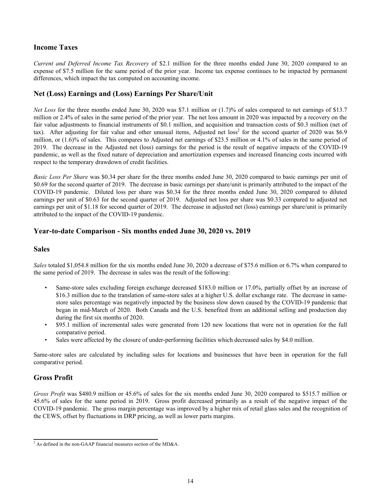### **Income Taxes**

*Current and Deferred Income Tax Recovery* of \$2.1 million for the three months ended June 30, 2020 compared to an expense of \$7.5 million for the same period of the prior year. Income tax expense continues to be impacted by permanent differences, which impact the tax computed on accounting income.

### **Net (Loss) Earnings and (Loss) Earnings Per Share/Unit**

*Net Loss* for the three months ended June 30, 2020 was \$7.1 million or (1.7)% of sales compared to net earnings of \$13.7 million or 2.4% of sales in the same period of the prior year. The net loss amount in 2020 was impacted by a recovery on the fair value adjustments to financial instruments of \$0.1 million, and acquisition and transaction costs of \$0.3 million (net of tax). After adjusting for fair value and other unusual items, Adjusted net  $loss<sup>2</sup>$  for the second quarter of 2020 was \$6.9 million, or (1.6)% of sales. This compares to Adjusted net earnings of \$23.5 million or 4.1% of sales in the same period of 2019. The decrease in the Adjusted net (loss) earnings for the period is the result of negative impacts of the COVID-19 pandemic, as well as the fixed nature of depreciation and amortization expenses and increased financing costs incurred with respect to the temporary drawdown of credit facilities.

*Basic Loss Per Share* was \$0.34 per share for the three months ended June 30, 2020 compared to basic earnings per unit of \$0.69 for the second quarter of 2019. The decrease in basic earnings per share/unit is primarily attributed to the impact of the COVID-19 pandemic. Diluted loss per share was \$0.34 for the three months ended June 30, 2020 compared to diluted earnings per unit of \$0.63 for the second quarter of 2019. Adjusted net loss per share was \$0.33 compared to adjusted net earnings per unit of \$1.18 for second quarter of 2019. The decrease in adjusted net (loss) earnings per share/unit is primarily attributed to the impact of the COVID-19 pandemic.

### **Year-to-date Comparison - Six months ended June 30, 2020 vs. 2019**

### **Sales**

*Sales* totaled \$1,054.8 million for the six months ended June 30, 2020 a decrease of \$75.6 million or 6.7% when compared to the same period of 2019. The decrease in sales was the result of the following:

- Same-store sales excluding foreign exchange decreased \$183.0 million or 17.0%, partially offset by an increase of \$16.3 million due to the translation of same-store sales at a higher U.S. dollar exchange rate. The decrease in samestore sales percentage was negatively impacted by the business slow down caused by the COVID-19 pandemic that began in mid-March of 2020. Both Canada and the U.S. benefited from an additional selling and production day during the first six months of 2020.
- \$95.1 million of incremental sales were generated from 120 new locations that were not in operation for the full comparative period.
- Sales were affected by the closure of under-performing facilities which decreased sales by \$4.0 million.

Same-store sales are calculated by including sales for locations and businesses that have been in operation for the full comparative period.

### **Gross Profit**

*Gross Profit* was \$480.9 million or 45.6% of sales for the six months ended June 30, 2020 compared to \$515.7 million or 45.6% of sales for the same period in 2019. Gross profit decreased primarily as a result of the negative impact of the COVID-19 pandemic. The gross margin percentage was improved by a higher mix of retail glass sales and the recognition of the CEWS, offset by fluctuations in DRP pricing, as well as lower parts margins.

 $2^2$  As defined in the non-GAAP financial measures section of the MD&A.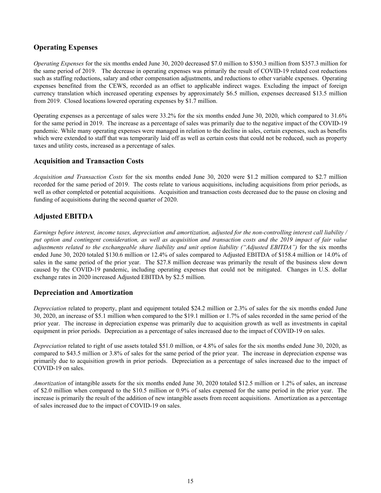### **Operating Expenses**

*Operating Expenses* for the six months ended June 30, 2020 decreased \$7.0 million to \$350.3 million from \$357.3 million for the same period of 2019. The decrease in operating expenses was primarily the result of COVID-19 related cost reductions such as staffing reductions, salary and other compensation adjustments, and reductions to other variable expenses. Operating expenses benefited from the CEWS, recorded as an offset to applicable indirect wages. Excluding the impact of foreign currency translation which increased operating expenses by approximately \$6.5 million, expenses decreased \$13.5 million from 2019. Closed locations lowered operating expenses by \$1.7 million.

Operating expenses as a percentage of sales were 33.2% for the six months ended June 30, 2020, which compared to 31.6% for the same period in 2019. The increase as a percentage of sales was primarily due to the negative impact of the COVID-19 pandemic. While many operating expenses were managed in relation to the decline in sales, certain expenses, such as benefits which were extended to staff that was temporarily laid off as well as certain costs that could not be reduced, such as property taxes and utility costs, increased as a percentage of sales.

### **Acquisition and Transaction Costs**

*Acquisition and Transaction Costs* for the six months ended June 30, 2020 were \$1.2 million compared to \$2.7 million recorded for the same period of 2019. The costs relate to various acquisitions, including acquisitions from prior periods, as well as other completed or potential acquisitions. Acquisition and transaction costs decreased due to the pause on closing and funding of acquisitions during the second quarter of 2020.

### **Adjusted EBITDA**

*Earnings before interest, income taxes, depreciation and amortization, adjusted for the non-controlling interest call liability / put option and contingent consideration, as well as acquisition and transaction costs and the 2019 impact of fair value adjustments related to the exchangeable share liability and unit option liability ("Adjusted EBITDA")* for the six months ended June 30, 2020 totaled \$130.6 million or 12.4% of sales compared to Adjusted EBITDA of \$158.4 million or 14.0% of sales in the same period of the prior year. The \$27.8 million decrease was primarily the result of the business slow down caused by the COVID-19 pandemic, including operating expenses that could not be mitigated. Changes in U.S. dollar exchange rates in 2020 increased Adjusted EBITDA by \$2.5 million.

### **Depreciation and Amortization**

*Depreciation* related to property, plant and equipment totaled \$24.2 million or 2.3% of sales for the six months ended June 30, 2020, an increase of \$5.1 million when compared to the \$19.1 million or 1.7% of sales recorded in the same period of the prior year. The increase in depreciation expense was primarily due to acquisition growth as well as investments in capital equipment in prior periods. Depreciation as a percentage of sales increased due to the impact of COVID-19 on sales.

*Depreciation* related to right of use assets totaled \$51.0 million, or 4.8% of sales for the six months ended June 30, 2020, as compared to \$43.5 million or 3.8% of sales for the same period of the prior year. The increase in depreciation expense was primarily due to acquisition growth in prior periods. Depreciation as a percentage of sales increased due to the impact of COVID-19 on sales.

*Amortization* of intangible assets for the six months ended June 30, 2020 totaled \$12.5 million or 1.2% of sales, an increase of \$2.0 million when compared to the \$10.5 million or 0.9% of sales expensed for the same period in the prior year. The increase is primarily the result of the addition of new intangible assets from recent acquisitions. Amortization as a percentage of sales increased due to the impact of COVID-19 on sales.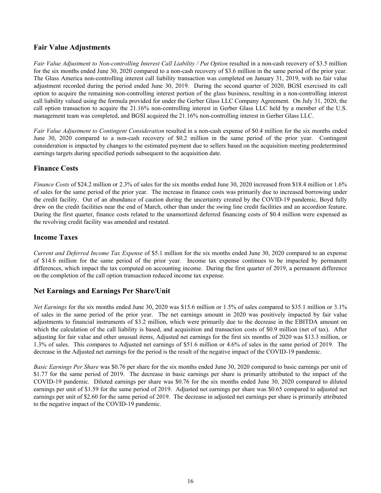### **Fair Value Adjustments**

*Fair Value Adjustment to Non-controlling Interest Call Liability / Put Option* resulted in a non-cash recovery of \$3.5 million for the six months ended June 30, 2020 compared to a non-cash recovery of \$3.6 million in the same period of the prior year. The Glass America non-controlling interest call liability transaction was completed on January 31, 2019, with no fair value adjustment recorded during the period ended June 30, 2019. During the second quarter of 2020, BGSI exercised its call option to acquire the remaining non-controlling interest portion of the glass business, resulting in a non-controlling interest call liability valued using the formula provided for under the Gerber Glass LLC Company Agreement. On July 31, 2020, the call option transaction to acquire the 21.16% non-controlling interest in Gerber Glass LLC held by a member of the U.S. management team was completed, and BGSI acquired the 21.16% non-controlling interest in Gerber Glass LLC.

*Fair Value Adjustment to Contingent Consideration* resulted in a non-cash expense of \$0.4 million for the six months ended June 30, 2020 compared to a non-cash recovery of \$0.2 million in the same period of the prior year. Contingent consideration is impacted by changes to the estimated payment due to sellers based on the acquisition meeting predetermined earnings targets during specified periods subsequent to the acquisition date.

### **Finance Costs**

*Finance Costs* of \$24.2 million or 2.3% of sales for the six months ended June 30, 2020 increased from \$18.4 million or 1.6% of sales for the same period of the prior year. The increase in finance costs was primarily due to increased borrowing under the credit facility. Out of an abundance of caution during the uncertainty created by the COVID-19 pandemic, Boyd fully drew on the credit facilities near the end of March, other than under the swing line credit facilities and an accordion feature. During the first quarter, finance costs related to the unamortized deferred financing costs of \$0.4 million were expensed as the revolving credit facility was amended and restated.

### **Income Taxes**

*Current and Deferred Income Tax Expense* of \$5.1 million for the six months ended June 30, 2020 compared to an expense of \$14.6 million for the same period of the prior year. Income tax expense continues to be impacted by permanent differences, which impact the tax computed on accounting income. During the first quarter of 2019, a permanent difference on the completion of the call option transaction reduced income tax expense.

### **Net Earnings and Earnings Per Share/Unit**

*Net Earnings* for the six months ended June 30, 2020 was \$15.6 million or 1.5% of sales compared to \$35.1 million or 3.1% of sales in the same period of the prior year. The net earnings amount in 2020 was positively impacted by fair value adjustments to financial instruments of \$3.2 million, which were primarily due to the decrease in the EBITDA amount on which the calculation of the call liability is based, and acquisition and transaction costs of \$0.9 million (net of tax). After adjusting for fair value and other unusual items, Adjusted net earnings for the first six months of 2020 was \$13.3 million, or 1.3% of sales. This compares to Adjusted net earnings of \$51.6 million or 4.6% of sales in the same period of 2019. The decrease in the Adjusted net earnings for the period is the result of the negative impact of the COVID-19 pandemic.

*Basic Earnings Per Share* was \$0.76 per share for the six months ended June 30, 2020 compared to basic earnings per unit of \$1.77 for the same period of 2019. The decrease in basic earnings per share is primarily attributed to the impact of the COVID-19 pandemic. Diluted earnings per share was \$0.76 for the six months ended June 30, 2020 compared to diluted earnings per unit of \$1.59 for the same period of 2019. Adjusted net earnings per share was \$0.65 compared to adjusted net earnings per unit of \$2.60 for the same period of 2019. The decrease in adjusted net earnings per share is primarily attributed to the negative impact of the COVID-19 pandemic.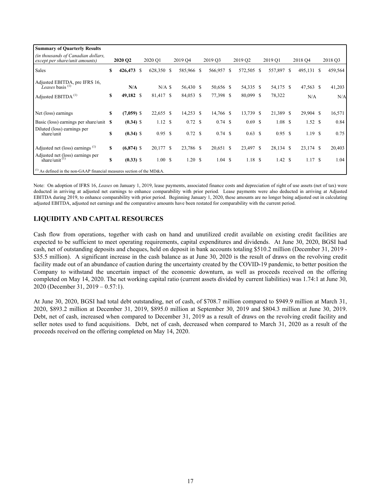| <b>Summary of Quarterly Results</b>                                  |                                                                          |              |   |            |  |                    |  |            |  |                  |  |                    |            |         |
|----------------------------------------------------------------------|--------------------------------------------------------------------------|--------------|---|------------|--|--------------------|--|------------|--|------------------|--|--------------------|------------|---------|
| (in thousands of Canadian dollars,<br>except per share/unit amounts) |                                                                          | 2020 Q2      |   | 2020 O1    |  | 2019 Q4            |  | 2019 Q3    |  | 2019 Q2          |  | 2019 O1            | 2018 Q4    | 2018 Q3 |
| Sales                                                                | \$                                                                       | 426,473      | S | 628,350 \$ |  | 585,966 \$         |  | 566,957 \$ |  | 572,505 \$       |  | 557,897 \$         | 495,131 \$ | 459,564 |
| Adjusted EBITDA, pre IFRS 16,<br>Leases basis $(1)$                  |                                                                          | N/A          |   | $N/A$ \$   |  | 56,430 \$          |  | 50,656 \$  |  | 54,335 \$        |  | 54,175 \$          | 47,563 \$  | 41,203  |
| Adjusted EBITDA <sup>(1)</sup>                                       | \$                                                                       | 49,182 \$    |   | 81,417 \$  |  | 84,053 \$          |  | 77,398 \$  |  | 80,099 \$        |  | 78,322             | N/A        | N/A     |
| Net (loss) earnings                                                  | \$                                                                       | $(7,059)$ \$ |   | 22,655 \$  |  | 14,253 \$          |  | 14,766 \$  |  | 13,739 \$        |  | 21,389 \$          | 29,904 \$  | 16,571  |
| Basic (loss) earnings per share/unit                                 | -S                                                                       | $(0.34)$ \$  |   | 1.12S      |  | 0.72S              |  | 0.74S      |  | 0.69 S           |  | 1.08 <sup>°</sup>  | 1.52S      | 0.84    |
| Diluted (loss) earnings per<br>share/unit                            | \$                                                                       | $(0.34)$ \$  |   | 0.95S      |  | $0.72 \text{ }$ \$ |  | 0.74S      |  | $0.63 \text{ S}$ |  | 0.95 S             | 1.19S      | 0.75    |
| Adjusted net (loss) earnings <sup>(1)</sup>                          | \$                                                                       | $(6,874)$ \$ |   | 20,177 \$  |  | 23,786 \$          |  | 20,651 \$  |  | 23,497 \$        |  | 28,134 \$          | 23,174 \$  | 20,403  |
| Adjusted net (loss) earnings per<br>share/unit $(1)$                 | \$                                                                       | $(0.33)$ \$  |   | 1.00S      |  | 1.20S              |  | 1.04S      |  | 1.18S            |  | $1.42 \text{ }$ \$ | 1.17S      | 1.04    |
|                                                                      | $(1)$ As defined in the non-GAAP financial measures section of the MD&A. |              |   |            |  |                    |  |            |  |                  |  |                    |            |         |

Note: On adoption of IFRS 16, *Leases* on January 1, 2019, lease payments, associated finance costs and depreciation of right of use assets (net of tax) were deducted in arriving at adjusted net earnings to enhance comparability with prior period. Lease payments were also deducted in arriving at Adjusted EBITDA during 2019, to enhance comparability with prior period. Beginning January 1, 2020, these amounts are no longer being adjusted out in calculating adjusted EBITDA, adjusted net earnings and the comparative amounts have been restated for comparability with the current period.

### **LIQUIDITY AND CAPITAL RESOURCES**

Cash flow from operations, together with cash on hand and unutilized credit available on existing credit facilities are expected to be sufficient to meet operating requirements, capital expenditures and dividends. At June 30, 2020, BGSI had cash, net of outstanding deposits and cheques, held on deposit in bank accounts totaling \$510.2 million (December 31, 2019 - \$35.5 million). A significant increase in the cash balance as at June 30, 2020 is the result of draws on the revolving credit facility made out of an abundance of caution during the uncertainty created by the COVID-19 pandemic, to better position the Company to withstand the uncertain impact of the economic downturn, as well as proceeds received on the offering completed on May 14, 2020. The net working capital ratio (current assets divided by current liabilities) was 1.74:1 at June 30, 2020 (December 31, 2019 – 0.57:1).

At June 30, 2020, BGSI had total debt outstanding, net of cash, of \$708.7 million compared to \$949.9 million at March 31, 2020, \$893.2 million at December 31, 2019, \$895.0 million at September 30, 2019 and \$804.3 million at June 30, 2019. Debt, net of cash, increased when compared to December 31, 2019 as a result of draws on the revolving credit facility and seller notes used to fund acquisitions. Debt, net of cash, decreased when compared to March 31, 2020 as a result of the proceeds received on the offering completed on May 14, 2020.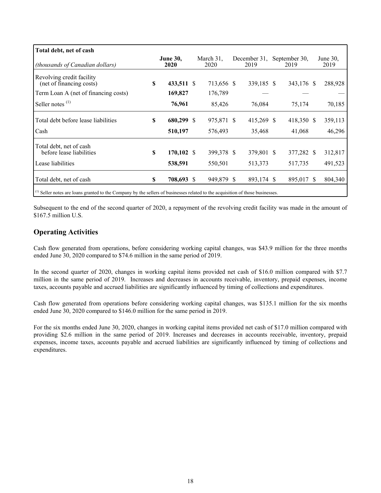| Total debt, net of cash                                                                                                                    |    |                         |  |                       |  |                       |  |                       |  |                     |
|--------------------------------------------------------------------------------------------------------------------------------------------|----|-------------------------|--|-----------------------|--|-----------------------|--|-----------------------|--|---------------------|
| (thousands of Canadian dollars)                                                                                                            |    | <b>June 30,</b><br>2020 |  | March $31$ ,<br>2020  |  | December 31,<br>2019  |  | September 30,<br>2019 |  | June $30$ .<br>2019 |
| Revolving credit facility<br>(net of financing costs)                                                                                      | S  | 433,511 \$              |  | 713,656 \$            |  | 339,185 \$            |  | 343,176 \$            |  | 288,928             |
| Term Loan A (net of financing costs)                                                                                                       |    | 169,827                 |  | 176,789               |  |                       |  |                       |  |                     |
| Seller notes <sup>(1)</sup>                                                                                                                |    | 76,961                  |  | 85,426                |  | 76,084                |  | 75,174                |  | 70,185              |
| Total debt before lease liabilities                                                                                                        | \$ | 680,299 \$              |  | 975,871 \$            |  | 415,269 \$            |  | 418,350 \$            |  | 359,113             |
| Cash                                                                                                                                       |    | 510,197                 |  | 576,493               |  | 35,468                |  | 41,068                |  | 46,296              |
| Total debt, net of cash<br>before lease liabilities<br>Lease liabilities                                                                   | \$ | $170,102$ \$<br>538,591 |  | 399,378 \$<br>550,501 |  | 379,801 \$<br>513,373 |  | 377,282 \$<br>517,735 |  | 312,817<br>491,523  |
| Total debt, net of cash                                                                                                                    | S  | 708,693 \$              |  | 949,879 \$            |  | 893,174 \$            |  | 895,017 \$            |  | 804,340             |
| $\binom{11}{2}$ Seller notes are loans granted to the Company by the sellers of businesses related to the acquisition of those businesses. |    |                         |  |                       |  |                       |  |                       |  |                     |

Subsequent to the end of the second quarter of 2020, a repayment of the revolving credit facility was made in the amount of \$167.5 million U.S.

### **Operating Activities**

Cash flow generated from operations, before considering working capital changes, was \$43.9 million for the three months ended June 30, 2020 compared to \$74.6 million in the same period of 2019.

In the second quarter of 2020, changes in working capital items provided net cash of \$16.0 million compared with \$7.7 million in the same period of 2019. Increases and decreases in accounts receivable, inventory, prepaid expenses, income taxes, accounts payable and accrued liabilities are significantly influenced by timing of collections and expenditures.

Cash flow generated from operations before considering working capital changes, was \$135.1 million for the six months ended June 30, 2020 compared to \$146.0 million for the same period in 2019.

For the six months ended June 30, 2020, changes in working capital items provided net cash of \$17.0 million compared with providing \$2.6 million in the same period of 2019. Increases and decreases in accounts receivable, inventory, prepaid expenses, income taxes, accounts payable and accrued liabilities are significantly influenced by timing of collections and expenditures.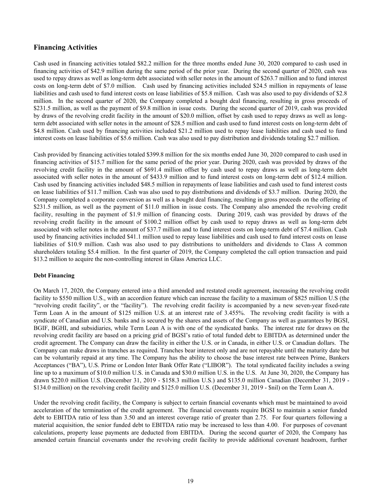#### **Financing Activities**

Cash used in financing activities totaled \$82.2 million for the three months ended June 30, 2020 compared to cash used in financing activities of \$42.9 million during the same period of the prior year. During the second quarter of 2020, cash was used to repay draws as well as long-term debt associated with seller notes in the amount of \$263.7 million and to fund interest costs on long-term debt of \$7.0 million. Cash used by financing activities included \$24.5 million in repayments of lease liabilities and cash used to fund interest costs on lease liabilities of \$5.8 million. Cash was also used to pay dividends of \$2.8 million. In the second quarter of 2020, the Company completed a bought deal financing, resulting in gross proceeds of \$231.5 million, as well as the payment of \$9.8 million in issue costs. During the second quarter of 2019, cash was provided by draws of the revolving credit facility in the amount of \$20.0 million, offset by cash used to repay draws as well as longterm debt associated with seller notes in the amount of \$28.5 million and cash used to fund interest costs on long-term debt of \$4.8 million. Cash used by financing activities included \$21.2 million used to repay lease liabilities and cash used to fund interest costs on lease liabilities of \$5.6 million. Cash was also used to pay distribution and dividends totaling \$2.7 million.

Cash provided by financing activities totaled \$399.8 million for the six months ended June 30, 2020 compared to cash used in financing activities of \$15.7 million for the same period of the prior year. During 2020, cash was provided by draws of the revolving credit facility in the amount of \$691.4 million offset by cash used to repay draws as well as long-term debt associated with seller notes in the amount of \$433.9 million and to fund interest costs on long-term debt of \$12.4 million. Cash used by financing activities included \$48.5 million in repayments of lease liabilities and cash used to fund interest costs on lease liabilities of \$11.7 million. Cash was also used to pay distributions and dividends of \$3.7 million. During 2020, the Company completed a corporate conversion as well as a bought deal financing, resulting in gross proceeds on the offering of \$231.5 million, as well as the payment of \$11.0 million in issue costs. The Company also amended the revolving credit facility, resulting in the payment of \$1.9 million of financing costs. During 2019, cash was provided by draws of the revolving credit facility in the amount of \$100.2 million offset by cash used to repay draws as well as long-term debt associated with seller notes in the amount of \$37.7 million and to fund interest costs on long-term debt of \$7.4 million. Cash used by financing activities included \$41.1 million used to repay lease liabilities and cash used to fund interest costs on lease liabilities of \$10.9 million. Cash was also used to pay distributions to unitholders and dividends to Class A common shareholders totaling \$5.4 million. In the first quarter of 2019, the Company completed the call option transaction and paid \$13.2 million to acquire the non-controlling interest in Glass America LLC.

#### **Debt Financing**

On March 17, 2020, the Company entered into a third amended and restated credit agreement, increasing the revolving credit facility to \$550 million U.S., with an accordion feature which can increase the facility to a maximum of \$825 million U.S (the "revolving credit facility", or the "facility"). The revolving credit facility is accompanied by a new seven-year fixed-rate Term Loan A in the amount of \$125 million U.S. at an interest rate of 3.455%. The revolving credit facility is with a syndicate of Canadian and U.S. banks and is secured by the shares and assets of the Company as well as guarantees by BGSI, BGIF, BGHI, and subsidiaries, while Term Loan A is with one of the syndicated banks. The interest rate for draws on the revolving credit facility are based on a pricing grid of BGSI's ratio of total funded debt to EBITDA as determined under the credit agreement. The Company can draw the facility in either the U.S. or in Canada, in either U.S. or Canadian dollars. The Company can make draws in tranches as required. Tranches bear interest only and are not repayable until the maturity date but can be voluntarily repaid at any time. The Company has the ability to choose the base interest rate between Prime, Bankers Acceptances ("BA"), U.S. Prime or London Inter Bank Offer Rate ("LIBOR"). The total syndicated facility includes a swing line up to a maximum of \$10.0 million U.S. in Canada and \$30.0 million U.S. in the U.S. At June 30, 2020, the Company has drawn \$220.0 million U.S. (December 31, 2019 - \$158.3 million U.S.) and \$135.0 million Canadian (December 31, 2019 - \$134.0 million) on the revolving credit facility and \$125.0 million U.S. (December 31, 2019 - \$nil) on the Term Loan A.

Under the revolving credit facility, the Company is subject to certain financial covenants which must be maintained to avoid acceleration of the termination of the credit agreement. The financial covenants require BGSI to maintain a senior funded debt to EBITDA ratio of less than 3.50 and an interest coverage ratio of greater than 2.75. For four quarters following a material acquisition, the senior funded debt to EBITDA ratio may be increased to less than 4.00. For purposes of covenant calculations, property lease payments are deducted from EBITDA. During the second quarter of 2020, the Company has amended certain financial covenants under the revolving credit facility to provide additional covenant headroom, further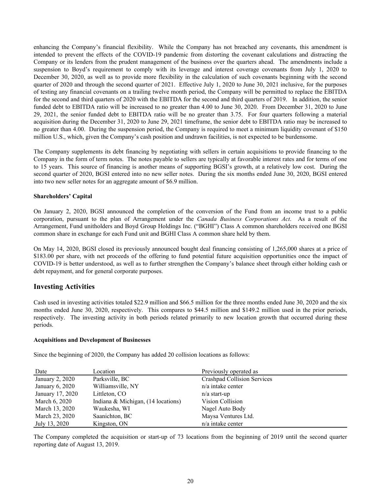enhancing the Company's financial flexibility. While the Company has not breached any covenants, this amendment is intended to prevent the effects of the COVID-19 pandemic from distorting the covenant calculations and distracting the Company or its lenders from the prudent management of the business over the quarters ahead. The amendments include a suspension to Boyd's requirement to comply with its leverage and interest coverage covenants from July 1, 2020 to December 30, 2020, as well as to provide more flexibility in the calculation of such covenants beginning with the second quarter of 2020 and through the second quarter of 2021. Effective July 1, 2020 to June 30, 2021 inclusive, for the purposes of testing any financial covenants on a trailing twelve month period, the Company will be permitted to replace the EBITDA for the second and third quarters of 2020 with the EBITDA for the second and third quarters of 2019. In addition, the senior funded debt to EBITDA ratio will be increased to no greater than 4.00 to June 30, 2020. From December 31, 2020 to June 29, 2021, the senior funded debt to EBITDA ratio will be no greater than 3.75. For four quarters following a material acquisition during the December 31, 2020 to June 29, 2021 timeframe, the senior debt to EBITDA ratio may be increased to no greater than 4.00. During the suspension period, the Company is required to meet a minimum liquidity covenant of \$150 million U.S., which, given the Company's cash position and undrawn facilities, is not expected to be burdensome.

The Company supplements its debt financing by negotiating with sellers in certain acquisitions to provide financing to the Company in the form of term notes. The notes payable to sellers are typically at favorable interest rates and for terms of one to 15 years. This source of financing is another means of supporting BGSI's growth, at a relatively low cost. During the second quarter of 2020, BGSI entered into no new seller notes. During the six months ended June 30, 2020, BGSI entered into two new seller notes for an aggregate amount of \$6.9 million.

#### **Shareholders' Capital**

On January 2, 2020, BGSI announced the completion of the conversion of the Fund from an income trust to a public corporation, pursuant to the plan of Arrangement under the *Canada Business Corporations Act*. As a result of the Arrangement, Fund unitholders and Boyd Group Holdings Inc. ("BGHI") Class A common shareholders received one BGSI common share in exchange for each Fund unit and BGHI Class A common share held by them.

On May 14, 2020, BGSI closed its previously announced bought deal financing consisting of 1,265,000 shares at a price of \$183.00 per share, with net proceeds of the offering to fund potential future acquisition opportunities once the impact of COVID-19 is better understood, as well as to further strengthen the Company's balance sheet through either holding cash or debt repayment, and for general corporate purposes.

#### **Investing Activities**

Cash used in investing activities totaled \$22.9 million and \$66.5 million for the three months ended June 30, 2020 and the six months ended June 30, 2020, respectively. This compares to \$44.5 million and \$149.2 million used in the prior periods, respectively. The investing activity in both periods related primarily to new location growth that occurred during these periods.

#### **Acquisitions and Development of Businesses**

Since the beginning of 2020, the Company has added 20 collision locations as follows:

| Date             | Location                             | Previously operated as      |
|------------------|--------------------------------------|-----------------------------|
| January 2, 2020  | Parksville, BC                       | Crashpad Collision Services |
| January 6, 2020  | Williamsville, NY                    | $n/a$ intake center         |
| January 17, 2020 | Littleton, CO                        | $n/a$ start-up              |
| March 6, 2020    | Indiana & Michigan, $(14$ locations) | Vision Collision            |
| March 13, 2020   | Waukesha, WI                         | Nagel Auto Body             |
| March 23, 2020   | Saanichton, BC                       | Maysa Ventures Ltd.         |
| July 13, 2020    | Kingston, ON                         | $n/a$ intake center         |

The Company completed the acquisition or start-up of 73 locations from the beginning of 2019 until the second quarter reporting date of August 13, 2019.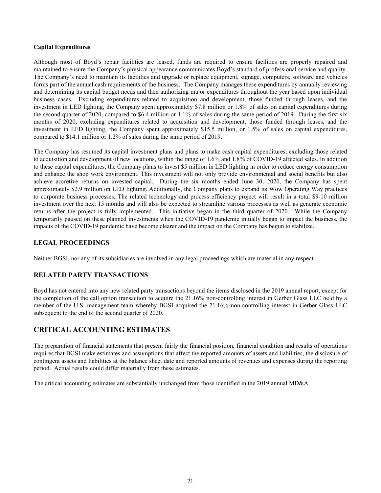#### **Capital Expenditures**

Although most of Boyd's repair facilities are leased, funds are required to ensure facilities are properly repaired and maintained to ensure the Company's physical appearance communicates Boyd's standard of professional service and quality. The Company's need to maintain its facilities and upgrade or replace equipment, signage, computers, software and vehicles forms part of the annual cash requirements of the business. The Company manages these expenditures by annually reviewing and determining its capital budget needs and then authorizing major expenditures throughout the year based upon individual business cases. Excluding expenditures related to acquisition and development, those funded through leases, and the investment in LED lighting, the Company spent approximately \$7.8 million or 1.8% of sales on capital expenditures during the second quarter of 2020, compared to \$6.4 million or 1.1% of sales during the same period of 2019. During the first six months of 2020, excluding expenditures related to acquisition and development, those funded through leases, and the investment in LED lighting, the Company spent approximately \$15.5 million, or 1.5% of sales on capital expenditures, compared to \$14.1 million or 1.2% of sales during the same period of 2019.

The Company has resumed its capital investment plans and plans to make cash capital expenditures, excluding those related to acquisition and development of new locations, within the range of 1.6% and 1.8% of COVID-19 affected sales. In addition to these capital expenditures, the Company plans to invest \$5 million in LED lighting in order to reduce energy consumption and enhance the shop work environment. This investment will not only provide environmental and social benefits but also achieve accretive returns on invested capital. During the six months ended June 30, 2020, the Company has spent approximately \$2.9 million on LED lighting. Additionally, the Company plans to expand its Wow Operating Way practices to corporate business processes. The related technology and process efficiency project will result in a total \$9-10 million investment over the next 15 months and will also be expected to streamline various processes as well as generate economic returns after the project is fully implemented. This initiative began in the third quarter of 2020. While the Company temporarily paused on these planned investments when the COVID-19 pandemic initially began to impact the business, the impacts of the COVID-19 pandemic have become clearer and the impact on the Company has begun to stabilize.

#### **LEGAL PROCEEDINGS**

Neither BGSI, nor any of its subsidiaries are involved in any legal proceedings which are material in any respect.

### **RELATED PARTY TRANSACTIONS**

Boyd has not entered into any new related party transactions beyond the items disclosed in the 2019 annual report, except for the completion of the call option transaction to acquire the 21.16% non-controlling interest in Gerber Glass LLC held by a member of the U.S. management team whereby BGSI acquired the 21.16% non-controlling interest in Gerber Glass LLC subsequent to the end of the second quarter of 2020.

### **CRITICAL ACCOUNTING ESTIMATES**

The preparation of financial statements that present fairly the financial position, financial condition and results of operations requires that BGSI make estimates and assumptions that affect the reported amounts of assets and liabilities, the disclosure of contingent assets and liabilities at the balance sheet date and reported amounts of revenues and expenses during the reporting period. Actual results could differ materially from these estimates.

The critical accounting estimates are substantially unchanged from those identified in the 2019 annual MD&A.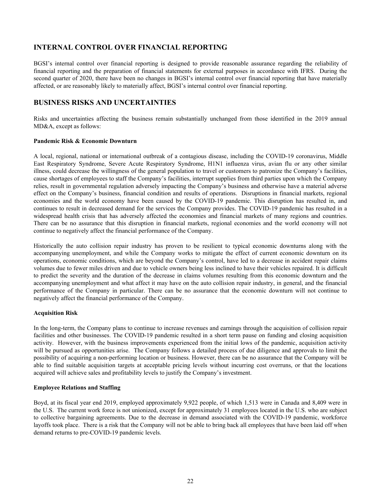### **INTERNAL CONTROL OVER FINANCIAL REPORTING**

BGSI's internal control over financial reporting is designed to provide reasonable assurance regarding the reliability of financial reporting and the preparation of financial statements for external purposes in accordance with IFRS. During the second quarter of 2020, there have been no changes in BGSI's internal control over financial reporting that have materially affected, or are reasonably likely to materially affect, BGSI's internal control over financial reporting.

### **BUSINESS RISKS AND UNCERTAINTIES**

Risks and uncertainties affecting the business remain substantially unchanged from those identified in the 2019 annual MD&A, except as follows:

#### **Pandemic Risk & Economic Downturn**

A local, regional, national or international outbreak of a contagious disease, including the COVID-19 coronavirus, Middle East Respiratory Syndrome, Severe Acute Respiratory Syndrome, H1N1 influenza virus, avian flu or any other similar illness, could decrease the willingness of the general population to travel or customers to patronize the Company's facilities, cause shortages of employees to staff the Company's facilities, interrupt supplies from third parties upon which the Company relies, result in governmental regulation adversely impacting the Company's business and otherwise have a material adverse effect on the Company's business, financial condition and results of operations. Disruptions in financial markets, regional economies and the world economy have been caused by the COVID-19 pandemic. This disruption has resulted in, and continues to result in decreased demand for the services the Company provides. The COVID-19 pandemic has resulted in a widespread health crisis that has adversely affected the economies and financial markets of many regions and countries. There can be no assurance that this disruption in financial markets, regional economies and the world economy will not continue to negatively affect the financial performance of the Company.

Historically the auto collision repair industry has proven to be resilient to typical economic downturns along with the accompanying unemployment, and while the Company works to mitigate the effect of current economic downturn on its operations, economic conditions, which are beyond the Company's control, have led to a decrease in accident repair claims volumes due to fewer miles driven and due to vehicle owners being less inclined to have their vehicles repaired. It is difficult to predict the severity and the duration of the decrease in claims volumes resulting from this economic downturn and the accompanying unemployment and what affect it may have on the auto collision repair industry, in general, and the financial performance of the Company in particular. There can be no assurance that the economic downturn will not continue to negatively affect the financial performance of the Company.

#### **Acquisition Risk**

In the long-term, the Company plans to continue to increase revenues and earnings through the acquisition of collision repair facilities and other businesses. The COVID-19 pandemic resulted in a short term pause on funding and closing acquisition activity. However, with the business improvements experienced from the initial lows of the pandemic, acquisition activity will be pursued as opportunities arise. The Company follows a detailed process of due diligence and approvals to limit the possibility of acquiring a non-performing location or business. However, there can be no assurance that the Company will be able to find suitable acquisition targets at acceptable pricing levels without incurring cost overruns, or that the locations acquired will achieve sales and profitability levels to justify the Company's investment.

#### **Employee Relations and Staffing**

Boyd, at its fiscal year end 2019, employed approximately 9,922 people, of which 1,513 were in Canada and 8,409 were in the U.S. The current work force is not unionized, except for approximately 31 employees located in the U.S. who are subject to collective bargaining agreements. Due to the decrease in demand associated with the COVID-19 pandemic, workforce layoffs took place. There is a risk that the Company will not be able to bring back all employees that have been laid off when demand returns to pre-COVID-19 pandemic levels.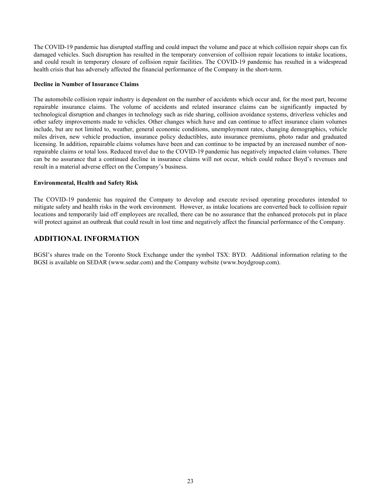The COVID-19 pandemic has disrupted staffing and could impact the volume and pace at which collision repair shops can fix damaged vehicles. Such disruption has resulted in the temporary conversion of collision repair locations to intake locations, and could result in temporary closure of collision repair facilities. The COVID-19 pandemic has resulted in a widespread health crisis that has adversely affected the financial performance of the Company in the short-term.

#### **Decline in Number of Insurance Claims**

The automobile collision repair industry is dependent on the number of accidents which occur and, for the most part, become repairable insurance claims. The volume of accidents and related insurance claims can be significantly impacted by technological disruption and changes in technology such as ride sharing, collision avoidance systems, driverless vehicles and other safety improvements made to vehicles. Other changes which have and can continue to affect insurance claim volumes include, but are not limited to, weather, general economic conditions, unemployment rates, changing demographics, vehicle miles driven, new vehicle production, insurance policy deductibles, auto insurance premiums, photo radar and graduated licensing. In addition, repairable claims volumes have been and can continue to be impacted by an increased number of nonrepairable claims or total loss. Reduced travel due to the COVID-19 pandemic has negatively impacted claim volumes. There can be no assurance that a continued decline in insurance claims will not occur, which could reduce Boyd's revenues and result in a material adverse effect on the Company's business.

#### **Environmental, Health and Safety Risk**

The COVID-19 pandemic has required the Company to develop and execute revised operating procedures intended to mitigate safety and health risks in the work environment. However, as intake locations are converted back to collision repair locations and temporarily laid off employees are recalled, there can be no assurance that the enhanced protocols put in place will protect against an outbreak that could result in lost time and negatively affect the financial performance of the Company.

### **ADDITIONAL INFORMATION**

BGSI's shares trade on the Toronto Stock Exchange under the symbol TSX: BYD. Additional information relating to the BGSI is available on SEDAR (www.sedar.com) and the Company website (www.boydgroup.com).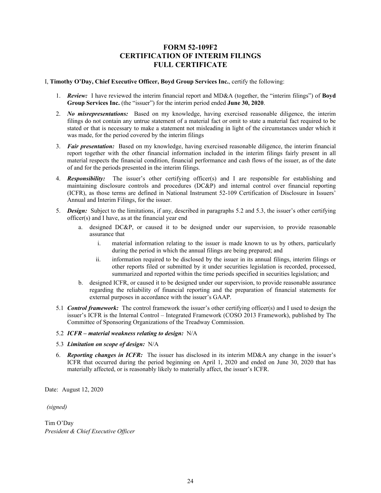### **FORM 52-109F2 CERTIFICATION OF INTERIM FILINGS FULL CERTIFICATE**

#### I, **Timothy O'Day, Chief Executive Officer, Boyd Group Services Inc.**, certify the following:

- 1. *Review:* I have reviewed the interim financial report and MD&A (together, the "interim filings") of **Boyd Group Services Inc.** (the "issuer") for the interim period ended **June 30, 2020**.
- 2. *No misrepresentations:* Based on my knowledge, having exercised reasonable diligence, the interim filings do not contain any untrue statement of a material fact or omit to state a material fact required to be stated or that is necessary to make a statement not misleading in light of the circumstances under which it was made, for the period covered by the interim filings
- 3. *Fair presentation:* Based on my knowledge, having exercised reasonable diligence, the interim financial report together with the other financial information included in the interim filings fairly present in all material respects the financial condition, financial performance and cash flows of the issuer, as of the date of and for the periods presented in the interim filings.
- 4. *Responsibility:* The issuer's other certifying officer(s) and I are responsible for establishing and maintaining disclosure controls and procedures (DC&P) and internal control over financial reporting (ICFR), as those terms are defined in National Instrument 52-109 Certification of Disclosure in Issuers' Annual and Interim Filings, for the issuer.
- 5. *Design:* Subject to the limitations, if any, described in paragraphs 5.2 and 5.3, the issuer's other certifying officer(s) and I have, as at the financial year end
	- a. designed DC&P, or caused it to be designed under our supervision, to provide reasonable assurance that
		- i. material information relating to the issuer is made known to us by others, particularly during the period in which the annual filings are being prepared; and
		- ii. information required to be disclosed by the issuer in its annual filings, interim filings or other reports filed or submitted by it under securities legislation is recorded, processed, summarized and reported within the time periods specified in securities legislation; and
	- b. designed ICFR, or caused it to be designed under our supervision, to provide reasonable assurance regarding the reliability of financial reporting and the preparation of financial statements for external purposes in accordance with the issuer's GAAP.
- 5.1 *Control framework:* The control framework the issuer's other certifying officer(s) and I used to design the issuer's ICFR is the Internal Control – Integrated Framework (COSO 2013 Framework), published by The Committee of Sponsoring Organizations of the Treadway Commission.
- 5.2 *ICFR material weakness relating to design:* N/A
- 5.3 *Limitation on scope of design:* N/A
- 6. *Reporting changes in ICFR:* The issuer has disclosed in its interim MD&A any change in the issuer's ICFR that occurred during the period beginning on April 1, 2020 and ended on June 30, 2020 that has materially affected, or is reasonably likely to materially affect, the issuer's ICFR.

Date: August 12, 2020

*(signed)* 

Tim O'Day *President & Chief Executive Officer*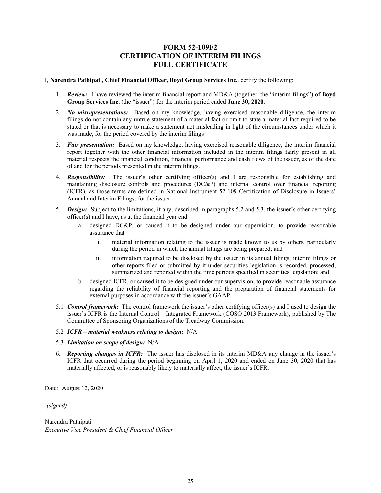### **FORM 52-109F2 CERTIFICATION OF INTERIM FILINGS FULL CERTIFICATE**

#### I, **Narendra Pathipati, Chief Financial Officer, Boyd Group Services Inc.**, certify the following:

- 1. *Review:* I have reviewed the interim financial report and MD&A (together, the "interim filings") of **Boyd Group Services Inc.** (the "issuer") for the interim period ended **June 30, 2020**.
- 2. *No misrepresentations:* Based on my knowledge, having exercised reasonable diligence, the interim filings do not contain any untrue statement of a material fact or omit to state a material fact required to be stated or that is necessary to make a statement not misleading in light of the circumstances under which it was made, for the period covered by the interim filings
- 3. *Fair presentation:* Based on my knowledge, having exercised reasonable diligence, the interim financial report together with the other financial information included in the interim filings fairly present in all material respects the financial condition, financial performance and cash flows of the issuer, as of the date of and for the periods presented in the interim filings.
- 4. *Responsibility:* The issuer's other certifying officer(s) and I are responsible for establishing and maintaining disclosure controls and procedures (DC&P) and internal control over financial reporting (ICFR), as those terms are defined in National Instrument 52-109 Certification of Disclosure in Issuers' Annual and Interim Filings, for the issuer.
- 5. *Design:* Subject to the limitations, if any, described in paragraphs 5.2 and 5.3, the issuer's other certifying officer(s) and I have, as at the financial year end
	- a. designed DC&P, or caused it to be designed under our supervision, to provide reasonable assurance that
		- i. material information relating to the issuer is made known to us by others, particularly during the period in which the annual filings are being prepared; and
		- ii. information required to be disclosed by the issuer in its annual filings, interim filings or other reports filed or submitted by it under securities legislation is recorded, processed, summarized and reported within the time periods specified in securities legislation; and
	- b. designed ICFR, or caused it to be designed under our supervision, to provide reasonable assurance regarding the reliability of financial reporting and the preparation of financial statements for external purposes in accordance with the issuer's GAAP.
- 5.1 *Control framework:* The control framework the issuer's other certifying officer(s) and I used to design the issuer's ICFR is the Internal Control – Integrated Framework (COSO 2013 Framework), published by The Committee of Sponsoring Organizations of the Treadway Commission.
- 5.2 *ICFR material weakness relating to design:* N/A
- 5.3 *Limitation on scope of design:* N/A
- 6. *Reporting changes in ICFR:* The issuer has disclosed in its interim MD&A any change in the issuer's ICFR that occurred during the period beginning on April 1, 2020 and ended on June 30, 2020 that has materially affected, or is reasonably likely to materially affect, the issuer's ICFR.

Date: August 12, 2020

*(signed)* 

Narendra Pathipati *Executive Vice President & Chief Financial Officer*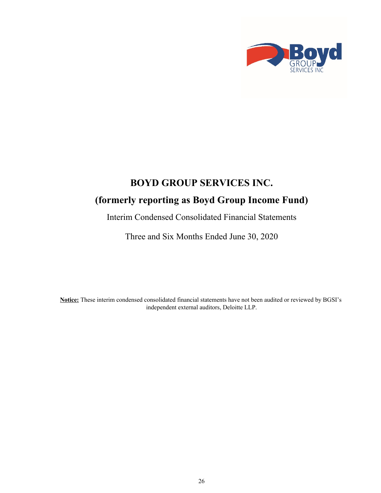

# **BOYD GROUP SERVICES INC.**

# **(formerly reporting as Boyd Group Income Fund)**

Interim Condensed Consolidated Financial Statements

Three and Six Months Ended June 30, 2020

**Notice:** These interim condensed consolidated financial statements have not been audited or reviewed by BGSI's independent external auditors, Deloitte LLP.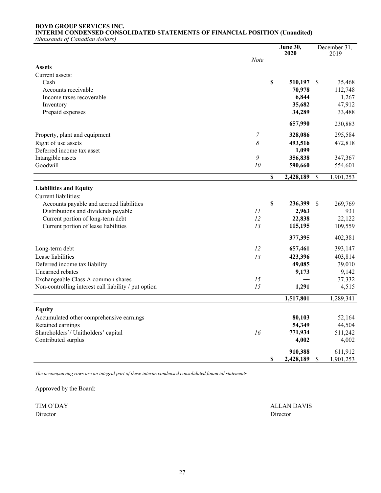#### **BOYD GROUP SERVICES INC. INTERIM CONDENSED CONSOLIDATED STATEMENTS OF FINANCIAL POSITION (Unaudited)**

*(thousands of Canadian dollars)*

|                                                      |      | <b>June 30,</b><br>2020 |               | December 31,<br>2019 |
|------------------------------------------------------|------|-------------------------|---------------|----------------------|
|                                                      | Note |                         |               |                      |
| <b>Assets</b>                                        |      |                         |               |                      |
| Current assets:                                      |      |                         |               |                      |
| Cash                                                 |      | \$<br>510,197           | <sup>\$</sup> | 35,468               |
| Accounts receivable                                  |      | 70,978                  |               | 112,748              |
| Income taxes recoverable                             |      | 6,844                   |               | 1,267                |
| Inventory                                            |      | 35,682                  |               | 47,912               |
| Prepaid expenses                                     |      | 34,289                  |               | 33,488               |
|                                                      |      | 657,990                 |               | 230,883              |
| Property, plant and equipment                        | 7    | 328,086                 |               | 295,584              |
| Right of use assets                                  | 8    | 493,516                 |               | 472,818              |
| Deferred income tax asset                            |      | 1,099                   |               |                      |
| Intangible assets                                    | 9    | 356,838                 |               | 347,367              |
| Goodwill                                             | 10   | 590,660                 |               | 554,601              |
|                                                      |      | \$<br>2,428,189         | \$            | 1,901,253            |
| <b>Liabilities and Equity</b>                        |      |                         |               |                      |
| Current liabilities:                                 |      |                         |               |                      |
| Accounts payable and accrued liabilities             |      | \$<br>236,399           | \$            | 269,769              |
| Distributions and dividends payable                  | 11   | 2,963                   |               | 931                  |
| Current portion of long-term debt                    | 12   | 22,838                  |               | 22,122               |
| Current portion of lease liabilities                 | 13   | 115,195                 |               | 109,559              |
|                                                      |      | 377,395                 |               | 402,381              |
| Long-term debt                                       | 12   | 657,461                 |               | 393,147              |
| Lease liabilities                                    | 13   | 423,396                 |               | 403,814              |
| Deferred income tax liability                        |      | 49,085                  |               | 39,010               |
| Unearned rebates                                     |      | 9,173                   |               | 9,142                |
| Exchangeable Class A common shares                   | 15   |                         |               | 37,332               |
| Non-controlling interest call liability / put option | 15   | 1,291                   |               | 4,515                |
|                                                      |      | 1,517,801               |               | 1,289,341            |
| <b>Equity</b>                                        |      |                         |               |                      |
| Accumulated other comprehensive earnings             |      | 80,103                  |               | 52,164               |
| Retained earnings                                    |      | 54,349                  |               | 44,504               |
| Shareholders'/Unitholders' capital                   | 16   | 771,934                 |               | 511,242              |
| Contributed surplus                                  |      | 4,002                   |               | 4,002                |
|                                                      |      | 910,388                 |               | 611,912              |
|                                                      |      | \$<br>2,428,189         | \$            | 1,901,253            |

*The accompanying rows are an integral part of these interim condensed consolidated financial statements*

Approved by the Board:

Director Director

TIM O'DAY ALLAN DAVIS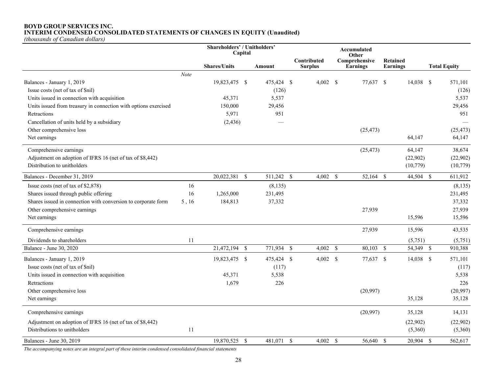#### **BOYD GROUP SERVICES INC. INTERIM CONDENSED CONSOLIDATED STATEMENTS OF CHANGES IN EQUITY (Unaudited)**

*(thousands of Canadian dollars)*

|                                                                 |       | Shareholders' / Unitholders'<br>Capital |              | Accumulated<br>Other |                               |               |                           |                                    |             |               |                     |
|-----------------------------------------------------------------|-------|-----------------------------------------|--------------|----------------------|-------------------------------|---------------|---------------------------|------------------------------------|-------------|---------------|---------------------|
|                                                                 |       | <b>Shares/Units</b>                     |              | Amount               | Contributed<br><b>Surplus</b> |               | Comprehensive<br>Earnings | <b>Retained</b><br><b>Earnings</b> |             |               | <b>Total Equity</b> |
|                                                                 | Note  |                                         |              |                      |                               |               |                           |                                    |             |               |                     |
| Balances - January 1, 2019                                      |       | 19,823,475 \$                           |              | 475,424 \$           | $4,002$ \$                    |               | 77,637 \$                 |                                    | $14,038$ \$ |               | 571,101             |
| Issue costs (net of tax of \$nil)                               |       |                                         |              | (126)                |                               |               |                           |                                    |             |               | (126)               |
| Units issued in connection with acquisition                     |       | 45,371                                  |              | 5,537                |                               |               |                           |                                    |             |               | 5,537               |
| Units issued from treasury in connection with options exercised |       | 150,000                                 |              | 29,456               |                               |               |                           |                                    |             |               | 29,456              |
| Retractions                                                     |       | 5,971                                   |              | 951                  |                               |               |                           |                                    |             |               | 951                 |
| Cancellation of units held by a subsidiary                      |       | (2, 436)                                |              |                      |                               |               |                           |                                    |             |               |                     |
| Other comprehensive loss                                        |       |                                         |              |                      |                               |               | (25, 473)                 |                                    |             |               | (25, 473)           |
| Net earnings                                                    |       |                                         |              |                      |                               |               |                           |                                    | 64,147      |               | 64,147              |
| Comprehensive earnings                                          |       |                                         |              |                      |                               |               | (25, 473)                 |                                    | 64,147      |               | 38,674              |
| Adjustment on adoption of IFRS 16 (net of tax of \$8,442)       |       |                                         |              |                      |                               |               |                           |                                    | (22,902)    |               | (22,902)            |
| Distribution to unitholders                                     |       |                                         |              |                      |                               |               |                           |                                    | (10,779)    |               | (10,779)            |
| Balances - December 31, 2019                                    |       | 20,022,381                              | $\mathbb{S}$ | 511,242 \$           | 4,002                         | $\mathcal{S}$ | 52,164                    | $\mathbb{S}$                       | 44,504      | $\sqrt{\ }$   | 611,912             |
| Issue costs (net of tax of \$2,878)                             | 16    |                                         |              | (8, 135)             |                               |               |                           |                                    |             |               | (8, 135)            |
| Shares issued through public offering                           | 16    | 1,265,000                               |              | 231,495              |                               |               |                           |                                    |             |               | 231,495             |
| Shares issued in connection with conversion to corporate form   | 5, 16 | 184,813                                 |              | 37,332               |                               |               |                           |                                    |             |               | 37,332              |
| Other comprehensive earnings                                    |       |                                         |              |                      |                               |               | 27,939                    |                                    |             |               | 27,939              |
| Net earnings                                                    |       |                                         |              |                      |                               |               |                           |                                    | 15,596      |               | 15,596              |
| Comprehensive earnings                                          |       |                                         |              |                      |                               |               | 27,939                    |                                    | 15,596      |               | 43,535              |
| Dividends to shareholders                                       | 11    |                                         |              |                      |                               |               |                           |                                    | (5,751)     |               | (5,751)             |
| <b>Balance - June 30, 2020</b>                                  |       | 21,472,194                              | $\mathbb{S}$ | 771,934 \$           | 4,002                         | $\mathcal{S}$ | 80,103                    | $\mathbb{S}$                       | 54,349      | $\sqrt{\ }$   | 910,388             |
| Balances - January 1, 2019                                      |       | 19,823,475 \$                           |              | 475,424 \$           | $4,002$ \$                    |               | 77,637 \$                 |                                    | $14,038$ \$ |               | 571,101             |
| Issue costs (net of tax of \$nil)                               |       |                                         |              | (117)                |                               |               |                           |                                    |             |               | (117)               |
| Units issued in connection with acquisition                     |       | 45,371                                  |              | 5,538                |                               |               |                           |                                    |             |               | 5,538               |
| Retractions                                                     |       | 1,679                                   |              | 226                  |                               |               |                           |                                    |             |               | 226                 |
| Other comprehensive loss                                        |       |                                         |              |                      |                               |               | (20, 997)                 |                                    |             |               | (20,997)            |
| Net earnings                                                    |       |                                         |              |                      |                               |               |                           |                                    | 35,128      |               | 35,128              |
| Comprehensive earnings                                          |       |                                         |              |                      |                               |               | (20, 997)                 |                                    | 35,128      |               | 14,131              |
| Adjustment on adoption of IFRS 16 (net of tax of \$8,442)       |       |                                         |              |                      |                               |               |                           |                                    | (22,902)    |               | (22,902)            |
| Distributions to unitholders                                    | 11    |                                         |              |                      |                               |               |                           |                                    | (5,360)     |               | (5,360)             |
| Balances - June 30, 2019                                        |       | 19,870,525 \$                           |              | 481,071 \$           | $4,002$ \$                    |               | 56,640 \$                 |                                    | 20,904      | <sup>\$</sup> | 562,617             |

*The accompanying notes are an integral part of these interim condensed consolidated financial statements*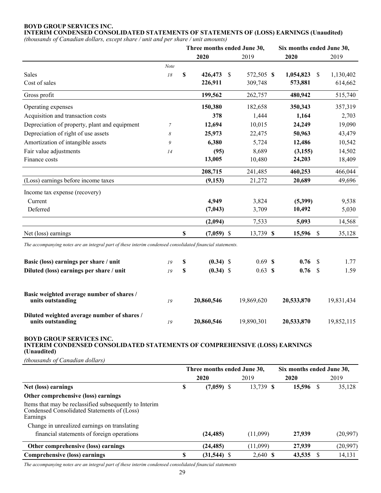#### **BOYD GROUP SERVICES INC.**

**INTERIM CONDENSED CONSOLIDATED STATEMENTS OF STATEMENTS OF (LOSS) EARNINGS (Unaudited)** *(thousands of Canadian dollars, except share / unit and per share / unit amounts)*

|                                                                                                                   |                | Three months ended June 30, |  | Six months ended June 30, |                           |               |            |
|-------------------------------------------------------------------------------------------------------------------|----------------|-----------------------------|--|---------------------------|---------------------------|---------------|------------|
|                                                                                                                   |                | 2020                        |  | 2019                      | 2020                      |               | 2019       |
|                                                                                                                   | Note           |                             |  |                           |                           |               |            |
| Sales                                                                                                             | $18\,$         | \$<br>426,473 \$            |  | 572,505 \$                | 1,054,823                 | <sup>\$</sup> | 1,130,402  |
| Cost of sales                                                                                                     |                | 226,911                     |  | 309,748                   | 573,881                   |               | 614,662    |
| Gross profit                                                                                                      |                | 199,562                     |  | 262,757                   | 480,942                   |               | 515,740    |
| Operating expenses                                                                                                |                | 150,380                     |  | 182,658                   | 350,343                   |               | 357,319    |
| Acquisition and transaction costs                                                                                 |                | 378                         |  | 1,444                     | 1,164                     |               | 2,703      |
| Depreciation of property, plant and equipment                                                                     | $\overline{7}$ | 12,694                      |  | 10,015                    | 24,249                    |               | 19,090     |
| Depreciation of right of use assets                                                                               | 8              | 25,973                      |  | 22,475                    | 50,963                    |               | 43,479     |
| Amortization of intangible assets                                                                                 | 9              | 6,380                       |  | 5,724                     | 12,486                    |               | 10,542     |
| Fair value adjustments                                                                                            | 14             | (95)                        |  | 8,689                     | (3,155)                   |               | 14,502     |
| Finance costs                                                                                                     |                | 13,005                      |  | 10,480                    | 24,203                    |               | 18,409     |
|                                                                                                                   |                | 208,715                     |  | 241,485                   | 460,253                   |               | 466,044    |
| (Loss) earnings before income taxes                                                                               |                | (9,153)                     |  | 21,272                    | 20,689                    |               | 49,696     |
| Income tax expense (recovery)                                                                                     |                |                             |  |                           |                           |               |            |
| Current                                                                                                           |                | 4,949                       |  | 3,824                     | (5,399)                   |               | 9,538      |
| Deferred                                                                                                          |                | (7, 043)                    |  | 3,709                     | 10,492                    |               | 5,030      |
|                                                                                                                   |                | (2,094)                     |  | 7,533                     | 5,093                     |               | 14,568     |
| Net (loss) earnings                                                                                               |                | \$<br>$(7,059)$ \$          |  | 13,739 \$                 | 15,596                    | <sup>\$</sup> | 35,128     |
| The accompanying notes are an integral part of these interim condensed consolidated financial statements.         |                |                             |  |                           |                           |               |            |
|                                                                                                                   |                |                             |  |                           |                           |               |            |
| Basic (loss) earnings per share / unit                                                                            | 19             | \$<br>$(0.34)$ \$           |  | $0.69$ \$                 | 0.76                      | <sup>\$</sup> | 1.77       |
| Diluted (loss) earnings per share / unit                                                                          | 19             | \$<br>$(0.34)$ \$           |  | $0.63$ \$                 | 0.76                      | $\mathcal{S}$ | 1.59       |
|                                                                                                                   |                |                             |  |                           |                           |               |            |
| Basic weighted average number of shares /<br>units outstanding                                                    | 19             | 20,860,546                  |  | 19,869,620                | 20,533,870                |               | 19,831,434 |
| Diluted weighted average number of shares /                                                                       |                |                             |  |                           |                           |               |            |
| units outstanding                                                                                                 | 19             | 20,860,546                  |  | 19,890,301                | 20,533,870                |               | 19,852,115 |
| <b>BOYD GROUP SERVICES INC.</b>                                                                                   |                |                             |  |                           |                           |               |            |
| <b>INTERIM CONDENSED CONSOLIDATED STATEMENTS OF COMPREHENSIVE (LOSS) EARNINGS</b><br>(Unaudited)                  |                |                             |  |                           |                           |               |            |
| (thousands of Canadian dollars)                                                                                   |                |                             |  |                           |                           |               |            |
|                                                                                                                   |                | Three months ended June 30, |  |                           | Six months ended June 30, |               |            |
|                                                                                                                   |                | 2020                        |  | 2019                      | 2020                      |               | 2019       |
| Net (loss) earnings                                                                                               |                | \$<br>$(7,059)$ \$          |  | 13,739 \$                 | 15,596 \$                 |               | 35,128     |
| Other comprehensive (loss) earnings                                                                               |                |                             |  |                           |                           |               |            |
| Items that may be reclassified subsequently to Interim<br>Condensed Consolidated Statements of (Loss)<br>Earnings |                |                             |  |                           |                           |               |            |
| Change in unrealized earnings on translating                                                                      |                |                             |  |                           |                           |               |            |
| financial statements of foreign operations                                                                        |                | (24, 485)                   |  | (11,099)                  | 27,939                    |               | (20,997)   |
| Other comprehensive (loss) earnings                                                                               |                | (24, 485)                   |  | (11,099)                  | 27,939                    |               | (20,997)   |
| <b>Comprehensive (loss) earnings</b>                                                                              |                | \$<br>$(31,544)$ \$         |  | 2,640 \$                  | 43,535 \$                 |               | 14,131     |

*The accompanying notes are an integral part of these interim condensed consolidated financial statements*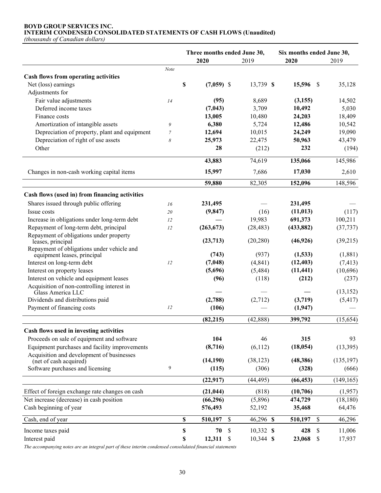### **BOYD GROUP SERVICES INC. INTERIM CONDENSED CONSOLIDATED STATEMENTS OF CASH FLOWS (Unaudited)**

*(thousands of Canadian dollars)*

|                                                                 |      | Three months ended June 30, |               | Six months ended June 30, |            |                           |            |
|-----------------------------------------------------------------|------|-----------------------------|---------------|---------------------------|------------|---------------------------|------------|
|                                                                 |      | 2020                        |               | 2019                      | 2020       |                           | 2019       |
|                                                                 | Note |                             |               |                           |            |                           |            |
| Cash flows from operating activities                            |      |                             |               |                           |            |                           |            |
| Net (loss) earnings                                             |      | \$<br>$(7,059)$ \$          |               | 13,739 \$                 | 15,596 \$  |                           | 35,128     |
| Adjustments for                                                 |      |                             |               |                           |            |                           |            |
| Fair value adjustments                                          | 14   | (95)                        |               | 8,689                     | (3,155)    |                           | 14,502     |
| Deferred income taxes                                           |      | (7, 043)                    |               | 3,709                     | 10,492     |                           | 5,030      |
| Finance costs                                                   |      | 13,005                      |               | 10,480                    | 24,203     |                           | 18,409     |
| Amortization of intangible assets                               | 9    | 6,380                       |               | 5,724                     | 12,486     |                           | 10,542     |
| Depreciation of property, plant and equipment                   | 7    | 12,694                      |               | 10,015                    | 24,249     |                           | 19,090     |
| Depreciation of right of use assets                             | 8    | 25,973                      |               | 22,475                    | 50,963     |                           | 43,479     |
| Other                                                           |      | 28                          |               | (212)                     | 232        |                           | (194)      |
|                                                                 |      | 43,883                      |               | 74,619                    | 135,066    |                           | 145,986    |
| Changes in non-cash working capital items                       |      | 15,997                      |               | 7,686                     | 17,030     |                           | 2,610      |
|                                                                 |      | 59,880                      |               | 82,305                    | 152,096    |                           | 148,596    |
| Cash flows (used in) from financing activities                  |      |                             |               |                           |            |                           |            |
| Shares issued through public offering                           | 16   | 231,495                     |               |                           | 231,495    |                           |            |
| Issue costs                                                     | 20   | (9, 847)                    |               | (16)                      | (11, 013)  |                           | (117)      |
| Increase in obligations under long-term debt                    | 12   |                             |               | 19,983                    | 691,373    |                           | 100,211    |
| Repayment of long-term debt, principal                          | 12   | (263, 673)                  |               | (28, 483)                 | (433, 882) |                           | (37, 737)  |
| Repayment of obligations under property<br>leases, principal    |      | (23,713)                    |               | (20, 280)                 | (46, 926)  |                           | (39,215)   |
| Repayment of obligations under vehicle and                      |      |                             |               |                           |            |                           |            |
| equipment leases, principal                                     |      | (743)                       |               | (937)                     | (1,533)    |                           | (1,881)    |
| Interest on long-term debt                                      | 12   | (7,048)                     |               | (4, 841)                  | (12, 403)  |                           | (7, 413)   |
| Interest on property leases                                     |      | (5,696)                     |               | (5, 484)                  | (11, 441)  |                           | (10,696)   |
| Interest on vehicle and equipment leases                        |      | (96)                        |               | (118)                     | (212)      |                           | (237)      |
| Acquisition of non-controlling interest in<br>Glass America LLC |      |                             |               |                           |            |                           | (13, 152)  |
| Dividends and distributions paid                                |      | (2,788)                     |               | (2,712)                   | (3,719)    |                           | (5, 417)   |
| Payment of financing costs                                      | 12   | (106)                       |               |                           | (1,947)    |                           |            |
|                                                                 |      | (82, 215)                   |               | (42, 888)                 | 399,792    |                           | (15, 654)  |
| Cash flows used in investing activities                         |      |                             |               |                           |            |                           |            |
| Proceeds on sale of equipment and software                      |      | 104                         |               | 46                        | 315        |                           | 93         |
| Equipment purchases and facility improvements                   |      | (8,716)                     |               | (6,112)                   | (18, 054)  |                           | (13,395)   |
| Acquisition and development of businesses                       |      |                             |               |                           |            |                           |            |
| (net of cash acquired)                                          |      | (14, 190)                   |               | (38, 123)                 | (48, 386)  |                           | (135, 197) |
| Software purchases and licensing                                | 9    | (115)                       |               | (306)                     | (328)      |                           | (666)      |
|                                                                 |      | (22, 917)                   |               | (44, 495)                 | (66, 453)  |                           | (149, 165) |
| Effect of foreign exchange rate changes on cash                 |      | (21, 044)                   |               | (818)                     | (10,706)   |                           | (1,957)    |
| Net increase (decrease) in cash position                        |      | (66, 296)                   |               | (5,896)                   | 474,729    |                           | (18, 180)  |
| Cash beginning of year                                          |      | 576,493                     |               | 52,192                    | 35,468     |                           | 64,476     |
| Cash, end of year                                               |      | \$<br>510,197               | \$            | 46,296 \$                 | 510,197    | \$                        | 46,296     |
| Income taxes paid                                               |      | \$<br>70                    | \$            | 10,332 \$                 | 428        | $\mathcal{S}$             | 11,006     |
| Interest paid                                                   |      | \$<br>12,311                | $\mathcal{S}$ | 10,344 \$                 | 23,068     | $\boldsymbol{\mathsf{S}}$ | 17,937     |

*The accompanying notes are an integral part of these interim condensed consolidated financial statements*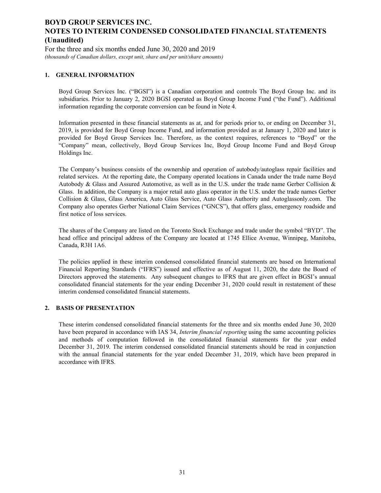For the three and six months ended June 30, 2020 and 2019 *(thousands of Canadian dollars, except unit, share and per unit/share amounts)*

#### **1. GENERAL INFORMATION**

Boyd Group Services Inc. ("BGSI") is a Canadian corporation and controls The Boyd Group Inc. and its subsidiaries. Prior to January 2, 2020 BGSI operated as Boyd Group Income Fund ("the Fund"). Additional information regarding the corporate conversion can be found in Note 4.

Information presented in these financial statements as at, and for periods prior to, or ending on December 31, 2019, is provided for Boyd Group Income Fund, and information provided as at January 1, 2020 and later is provided for Boyd Group Services Inc. Therefore, as the context requires, references to "Boyd" or the "Company" mean, collectively, Boyd Group Services Inc, Boyd Group Income Fund and Boyd Group Holdings Inc.

The Company's business consists of the ownership and operation of autobody/autoglass repair facilities and related services. At the reporting date, the Company operated locations in Canada under the trade name Boyd Autobody & Glass and Assured Automotive, as well as in the U.S. under the trade name Gerber Collision & Glass. In addition, the Company is a major retail auto glass operator in the U.S. under the trade names Gerber Collision & Glass, Glass America, Auto Glass Service, Auto Glass Authority and Autoglassonly.com. The Company also operates Gerber National Claim Services ("GNCS"), that offers glass, emergency roadside and first notice of loss services.

The shares of the Company are listed on the Toronto Stock Exchange and trade under the symbol "BYD". The head office and principal address of the Company are located at 1745 Ellice Avenue, Winnipeg, Manitoba, Canada, R3H 1A6.

The policies applied in these interim condensed consolidated financial statements are based on International Financial Reporting Standards ("IFRS") issued and effective as of August 11, 2020, the date the Board of Directors approved the statements. Any subsequent changes to IFRS that are given effect in BGSI's annual consolidated financial statements for the year ending December 31, 2020 could result in restatement of these interim condensed consolidated financial statements.

#### **2. BASIS OF PRESENTATION**

These interim condensed consolidated financial statements for the three and six months ended June 30, 2020 have been prepared in accordance with IAS 34, *Interim financial reporting* using the same accounting policies and methods of computation followed in the consolidated financial statements for the year ended December 31, 2019. The interim condensed consolidated financial statements should be read in conjunction with the annual financial statements for the year ended December 31, 2019, which have been prepared in accordance with IFRS.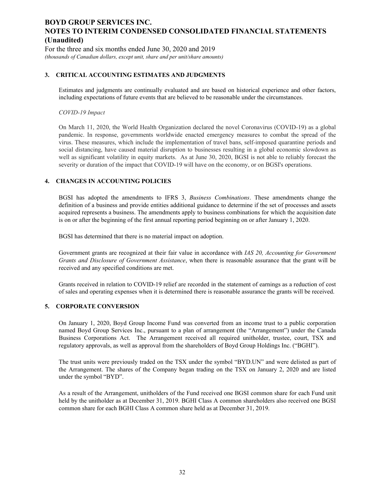For the three and six months ended June 30, 2020 and 2019 *(thousands of Canadian dollars, except unit, share and per unit/share amounts)*

#### **3. CRITICAL ACCOUNTING ESTIMATES AND JUDGMENTS**

Estimates and judgments are continually evaluated and are based on historical experience and other factors, including expectations of future events that are believed to be reasonable under the circumstances.

#### *COVID-19 Impact*

On March 11, 2020, the World Health Organization declared the novel Coronavirus (COVID-19) as a global pandemic. In response, governments worldwide enacted emergency measures to combat the spread of the virus. These measures, which include the implementation of travel bans, self-imposed quarantine periods and social distancing, have caused material disruption to businesses resulting in a global economic slowdown as well as significant volatility in equity markets. As at June 30, 2020, BGSI is not able to reliably forecast the severity or duration of the impact that COVID-19 will have on the economy, or on BGSI's operations.

#### **4. CHANGES IN ACCOUNTING POLICIES**

BGSI has adopted the amendments to IFRS 3, *Business Combinations*. These amendments change the definition of a business and provide entities additional guidance to determine if the set of processes and assets acquired represents a business. The amendments apply to business combinations for which the acquisition date is on or after the beginning of the first annual reporting period beginning on or after January 1, 2020.

BGSI has determined that there is no material impact on adoption.

Government grants are recognized at their fair value in accordance with *IAS 20, Accounting for Government Grants and Disclosure of Government Assistance*, when there is reasonable assurance that the grant will be received and any specified conditions are met.

Grants received in relation to COVID-19 relief are recorded in the statement of earnings as a reduction of cost of sales and operating expenses when it is determined there is reasonable assurance the grants will be received.

#### **5. CORPORATE CONVERSION**

On January 1, 2020, Boyd Group Income Fund was converted from an income trust to a public corporation named Boyd Group Services Inc., pursuant to a plan of arrangement (the "Arrangement") under the Canada Business Corporations Act. The Arrangement received all required unitholder, trustee, court, TSX and regulatory approvals, as well as approval from the shareholders of Boyd Group Holdings Inc. ("BGHI").

The trust units were previously traded on the TSX under the symbol "BYD.UN" and were delisted as part of the Arrangement. The shares of the Company began trading on the TSX on January 2, 2020 and are listed under the symbol "BYD".

As a result of the Arrangement, unitholders of the Fund received one BGSI common share for each Fund unit held by the unitholder as at December 31, 2019. BGHI Class A common shareholders also received one BGSI common share for each BGHI Class A common share held as at December 31, 2019.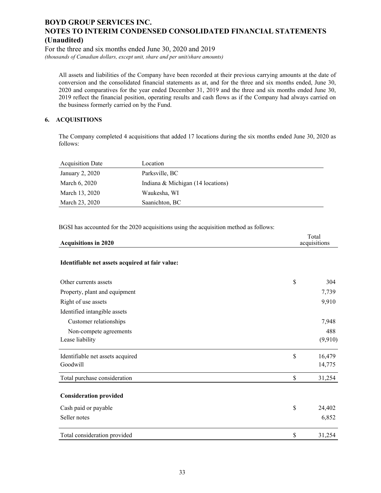For the three and six months ended June 30, 2020 and 2019

*(thousands of Canadian dollars, except unit, share and per unit/share amounts)*

All assets and liabilities of the Company have been recorded at their previous carrying amounts at the date of conversion and the consolidated financial statements as at, and for the three and six months ended, June 30, 2020 and comparatives for the year ended December 31, 2019 and the three and six months ended June 30, 2019 reflect the financial position, operating results and cash flows as if the Company had always carried on the business formerly carried on by the Fund.

#### **6. ACQUISITIONS**

The Company completed 4 acquisitions that added 17 locations during the six months ended June 30, 2020 as follows:

| <b>Acquisition Date</b> | Location                          |
|-------------------------|-----------------------------------|
| January 2, 2020         | Parksville, BC                    |
| March 6, 2020           | Indiana & Michigan (14 locations) |
| March 13, 2020          | Waukesha, WI                      |
| March 23, 2020          | Saanichton, BC                    |

BGSI has accounted for the 2020 acquisitions using the acquisition method as follows:

| <b>Acquisitions in 2020</b>                     | Total<br>acquisitions |  |  |
|-------------------------------------------------|-----------------------|--|--|
| Identifiable net assets acquired at fair value: |                       |  |  |
| Other currents assets                           | \$<br>304             |  |  |
| Property, plant and equipment                   | 7,739                 |  |  |
| Right of use assets                             | 9,910                 |  |  |
| Identified intangible assets                    |                       |  |  |
| Customer relationships                          | 7,948                 |  |  |
| Non-compete agreements                          | 488                   |  |  |
| Lease liability                                 | (9,910)               |  |  |
| Identifiable net assets acquired                | \$<br>16,479          |  |  |
| Goodwill                                        | 14,775                |  |  |
| Total purchase consideration                    | \$<br>31,254          |  |  |
| <b>Consideration provided</b>                   |                       |  |  |
| Cash paid or payable                            | \$<br>24,402          |  |  |
| Seller notes                                    | 6,852                 |  |  |
| Total consideration provided                    | \$<br>31,254          |  |  |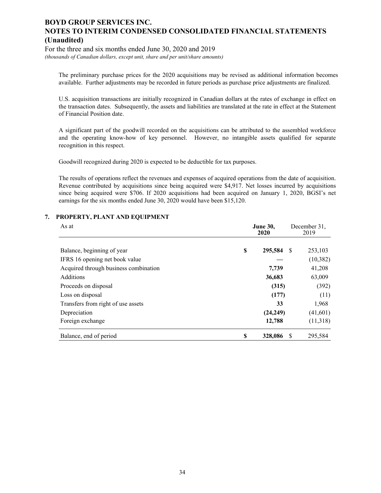For the three and six months ended June 30, 2020 and 2019 *(thousands of Canadian dollars, except unit, share and per unit/share amounts)*

The preliminary purchase prices for the 2020 acquisitions may be revised as additional information becomes available. Further adjustments may be recorded in future periods as purchase price adjustments are finalized.

U.S. acquisition transactions are initially recognized in Canadian dollars at the rates of exchange in effect on the transaction dates. Subsequently, the assets and liabilities are translated at the rate in effect at the Statement of Financial Position date.

A significant part of the goodwill recorded on the acquisitions can be attributed to the assembled workforce and the operating know-how of key personnel. However, no intangible assets qualified for separate recognition in this respect.

Goodwill recognized during 2020 is expected to be deductible for tax purposes.

The results of operations reflect the revenues and expenses of acquired operations from the date of acquisition. Revenue contributed by acquisitions since being acquired were \$4,917. Net losses incurred by acquisitions since being acquired were \$706. If 2020 acquisitions had been acquired on January 1, 2020, BGSI's net earnings for the six months ended June 30, 2020 would have been \$15,120.

| As at                                 | <b>June 30,</b><br>2020 | December 31.<br>2019 |           |
|---------------------------------------|-------------------------|----------------------|-----------|
|                                       |                         |                      |           |
| Balance, beginning of year            | \$<br>295,584           | S                    | 253,103   |
| IFRS 16 opening net book value        |                         |                      | (10, 382) |
| Acquired through business combination | 7,739                   |                      | 41,208    |
| <b>Additions</b>                      | 36,683                  |                      | 63,009    |
| Proceeds on disposal                  | (315)                   |                      | (392)     |
| Loss on disposal                      | (177)                   |                      | (11)      |
| Transfers from right of use assets    | 33                      |                      | 1,968     |
| Depreciation                          | (24,249)                |                      | (41,601)  |
| Foreign exchange                      | 12,788                  |                      | (11,318)  |
| Balance, end of period                | \$<br>328,086           | S                    | 295,584   |

#### **7. PROPERTY, PLANT AND EQUIPMENT**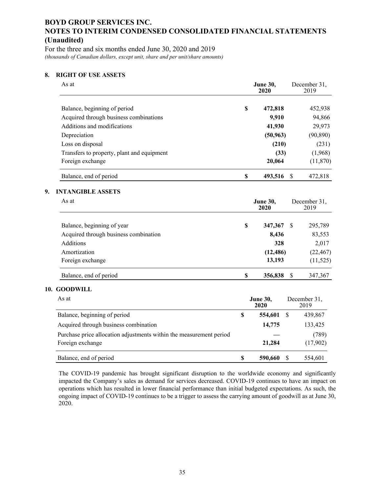For the three and six months ended June 30, 2020 and 2019

*(thousands of Canadian dollars, except unit, share and per unit/share amounts)*

#### **8. RIGHT OF USE ASSETS**

| As at                                      | <b>June 30.</b><br>2020 | December 31,<br>2019 |
|--------------------------------------------|-------------------------|----------------------|
| Balance, beginning of period               | \$<br>472,818           | 452,938              |
| Acquired through business combinations     | 9,910                   | 94,866               |
| Additions and modifications                | 41,930                  | 29,973               |
| Depreciation                               | (50, 963)               | (90, 890)            |
| Loss on disposal                           | (210)                   | (231)                |
| Transfers to property, plant and equipment | (33)                    | (1,968)              |
| Foreign exchange                           | 20,064                  | (11, 870)            |
| Balance, end of period                     | \$<br>493,516           | 472,818<br>- \$      |
| <b>INTANGIBLE ASSETS</b>                   |                         |                      |
| As at                                      | <b>June 30,</b><br>2020 | December 31.<br>2019 |

| 83,553<br>2,017<br>(22, 467)<br>(11,525) |
|------------------------------------------|
|                                          |
|                                          |
|                                          |
|                                          |
| 295,789<br>-8                            |
|                                          |

#### **10. GOODWILL**

| As at                                                                                   |   | <b>June 30,</b><br>2020 | December 31,<br>2019 |
|-----------------------------------------------------------------------------------------|---|-------------------------|----------------------|
| Balance, beginning of period                                                            | S | 554,601                 | 439,867              |
| Acquired through business combination                                                   |   | 14,775                  | 133,425              |
| Purchase price allocation adjustments within the measurement period<br>Foreign exchange |   | 21,284                  | (789)<br>(17,902)    |
| Balance, end of period                                                                  |   | 590,660                 | 554,601              |

The COVID-19 pandemic has brought significant disruption to the worldwide economy and significantly impacted the Company's sales as demand for services decreased. COVID-19 continues to have an impact on operations which has resulted in lower financial performance than initial budgeted expectations. As such, the ongoing impact of COVID-19 continues to be a trigger to assess the carrying amount of goodwill as at June 30, 2020.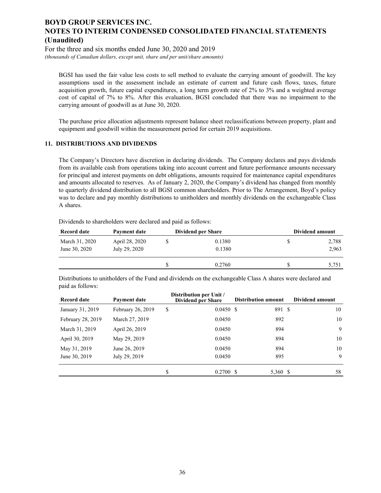For the three and six months ended June 30, 2020 and 2019

*(thousands of Canadian dollars, except unit, share and per unit/share amounts)*

BGSI has used the fair value less costs to sell method to evaluate the carrying amount of goodwill. The key assumptions used in the assessment include an estimate of current and future cash flows, taxes, future acquisition growth, future capital expenditures, a long term growth rate of 2% to 3% and a weighted average cost of capital of 7% to 8%. After this evaluation, BGSI concluded that there was no impairment to the carrying amount of goodwill as at June 30, 2020.

The purchase price allocation adjustments represent balance sheet reclassifications between property, plant and equipment and goodwill within the measurement period for certain 2019 acquisitions.

#### **11. DISTRIBUTIONS AND DIVIDENDS**

The Company's Directors have discretion in declaring dividends. The Company declares and pays dividends from its available cash from operations taking into account current and future performance amounts necessary for principal and interest payments on debt obligations, amounts required for maintenance capital expenditures and amounts allocated to reserves. As of January 2, 2020, the Company's dividend has changed from monthly to quarterly dividend distribution to all BGSI common shareholders. Prior to The Arrangement, Boyd's policy was to declare and pay monthly distributions to unitholders and monthly dividends on the exchangeable Class A shares.

|                | Dividends to shareholders were declared and paid as follows. |                    |                 |
|----------------|--------------------------------------------------------------|--------------------|-----------------|
| Record date    | Payment date                                                 | Dividend per Share | Dividend amount |
| March 31, 2020 | April 28, 2020                                               | 0.1380             | 2,788           |
| June 30, 2020  | July 29, 2020                                                | 0.1380             | 2,963           |
|                |                                                              |                    |                 |

Dividends to shareholders were declared and paid as follows:

Distributions to unitholders of the Fund and dividends on the exchangeable Class A shares were declared and paid as follows:

 $\$\qquad \qquad 5,751$ 

| <b>Record date</b> | Payment date      | Distribution per Unit /<br>Dividend per Share | Distribution amount | Dividend amount |
|--------------------|-------------------|-----------------------------------------------|---------------------|-----------------|
| January 31, 2019   | February 26, 2019 | \$<br>$0.0450$ \$                             | 891 \$              | 10              |
| February 28, 2019  | March 27, 2019    | 0.0450                                        | 892                 | 10              |
| March 31, 2019     | April 26, 2019    | 0.0450                                        | 894                 | 9               |
| April 30, 2019     | May 29, 2019      | 0.0450                                        | 894                 | 10              |
| May 31, 2019       | June 26, 2019     | 0.0450                                        | 894                 | 10              |
| June 30, 2019      | July 29, 2019     | 0.0450                                        | 895                 | 9               |
|                    |                   | \$<br>$0.2700$ \$                             | 5,360 \$            | 58              |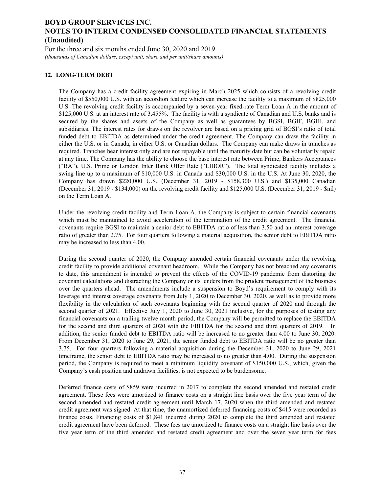For the three and six months ended June 30, 2020 and 2019 *(thousands of Canadian dollars, except unit, share and per unit/share amounts)*

#### **12. LONG-TERM DEBT**

The Company has a credit facility agreement expiring in March 2025 which consists of a revolving credit facility of \$550,000 U.S. with an accordion feature which can increase the facility to a maximum of \$825,000 U.S. The revolving credit facility is accompanied by a seven-year fixed-rate Term Loan A in the amount of \$125,000 U.S. at an interest rate of 3.455%. The facility is with a syndicate of Canadian and U.S. banks and is secured by the shares and assets of the Company as well as guarantees by BGSI, BGIF, BGHI, and subsidiaries. The interest rates for draws on the revolver are based on a pricing grid of BGSI's ratio of total funded debt to EBITDA as determined under the credit agreement. The Company can draw the facility in either the U.S. or in Canada, in either U.S. or Canadian dollars. The Company can make draws in tranches as required. Tranches bear interest only and are not repayable until the maturity date but can be voluntarily repaid at any time. The Company has the ability to choose the base interest rate between Prime, Bankers Acceptances ("BA"), U.S. Prime or London Inter Bank Offer Rate ("LIBOR"). The total syndicated facility includes a swing line up to a maximum of \$10,000 U.S. in Canada and \$30,000 U.S. in the U.S. At June 30, 2020, the Company has drawn \$220,000 U.S. (December 31, 2019 - \$158,300 U.S.) and \$135,000 Canadian (December 31, 2019 - \$134,000) on the revolving credit facility and \$125,000 U.S. (December 31, 2019 - \$nil) on the Term Loan A.

Under the revolving credit facility and Term Loan A, the Company is subject to certain financial covenants which must be maintained to avoid acceleration of the termination of the credit agreement. The financial covenants require BGSI to maintain a senior debt to EBITDA ratio of less than 3.50 and an interest coverage ratio of greater than 2.75. For four quarters following a material acquisition, the senior debt to EBITDA ratio may be increased to less than 4.00.

During the second quarter of 2020, the Company amended certain financial covenants under the revolving credit facility to provide additional covenant headroom. While the Company has not breached any covenants to date, this amendment is intended to prevent the effects of the COVID-19 pandemic from distorting the covenant calculations and distracting the Company or its lenders from the prudent management of the business over the quarters ahead. The amendments include a suspension to Boyd's requirement to comply with its leverage and interest coverage covenants from July 1, 2020 to December 30, 2020, as well as to provide more flexibility in the calculation of such covenants beginning with the second quarter of 2020 and through the second quarter of 2021. Effective July 1, 2020 to June 30, 2021 inclusive, for the purposes of testing any financial covenants on a trailing twelve month period, the Company will be permitted to replace the EBITDA for the second and third quarters of 2020 with the EBITDA for the second and third quarters of 2019. In addition, the senior funded debt to EBITDA ratio will be increased to no greater than 4.00 to June 30, 2020. From December 31, 2020 to June 29, 2021, the senior funded debt to EBITDA ratio will be no greater than 3.75. For four quarters following a material acquisition during the December 31, 2020 to June 29, 2021 timeframe, the senior debt to EBITDA ratio may be increased to no greater than 4.00. During the suspension period, the Company is required to meet a minimum liquidity covenant of \$150,000 U.S., which, given the Company's cash position and undrawn facilities, is not expected to be burdensome.

Deferred finance costs of \$859 were incurred in 2017 to complete the second amended and restated credit agreement. These fees were amortized to finance costs on a straight line basis over the five year term of the second amended and restated credit agreement until March 17, 2020 when the third amended and restated credit agreement was signed. At that time, the unamortized deferred financing costs of \$415 were recorded as finance costs. Financing costs of \$1,841 incurred during 2020 to complete the third amended and restated credit agreement have been deferred. These fees are amortized to finance costs on a straight line basis over the five year term of the third amended and restated credit agreement and over the seven year term for fees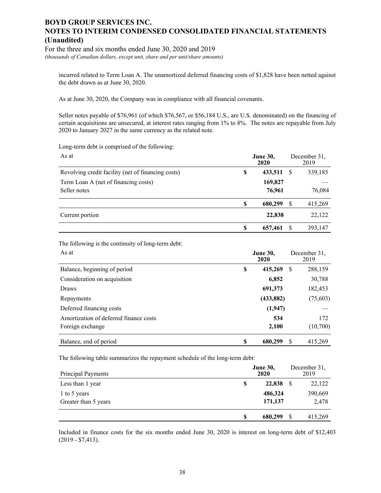For the three and six months ended June 30, 2020 and 2019

*(thousands of Canadian dollars, except unit, share and per unit/share amounts)*

incurred related to Term Loan A. The unamortized deferred financing costs of \$1,828 have been netted against the debt drawn as at June 30, 2020.

As at June 30, 2020, the Company was in compliance with all financial covenants.

Seller notes payable of \$76,961 (of which \$76,567, or \$56,184 U.S., are U.S. denominated) on the financing of certain acquisitions are unsecured, at interest rates ranging from 1% to 8%. The notes are repayable from July 2020 to January 2027 in the same currency as the related note.

Long-term debt is comprised of the following:

| As at                                              |    | <b>June 30,</b><br>2020 |    | December 31,<br>2019 |
|----------------------------------------------------|----|-------------------------|----|----------------------|
| Revolving credit facility (net of financing costs) | \$ | 433,511                 | S  | 339,185              |
| Term Loan A (net of financing costs)               |    | 169,827                 |    |                      |
| Seller notes                                       |    | 76,961                  |    | 76,084               |
|                                                    | S  | 680,299                 | -S | 415,269              |
| Current portion                                    |    | 22,838                  |    | 22,122               |
|                                                    | S  | 657,461                 |    | 393,147              |

The following is the continuity of long-term debt:

| As at<br>Balance, beginning of period  |   | <b>June 30,</b><br>2020 |   | December 31.<br>2019 |
|----------------------------------------|---|-------------------------|---|----------------------|
|                                        | S | 415,269                 | S | 288,159              |
| Consideration on acquisition           |   | 6,852                   |   | 30,788               |
| Draws                                  |   | 691,373                 |   | 182,453              |
| Repayments                             |   | (433, 882)              |   | (75, 603)            |
| Deferred financing costs               |   | (1,947)                 |   |                      |
| Amortization of deferred finance costs |   | 534                     |   | 172                  |
| Foreign exchange                       |   | 2,100                   |   | (10,700)             |
| Balance, end of period                 | S | 680,299                 |   | 415,269              |

The following table summarizes the repayment schedule of the long-term debt:

| <b>Principal Payments</b> |    | <b>June 30,</b><br>2020 |    | December 31.<br>2019 |
|---------------------------|----|-------------------------|----|----------------------|
| Less than 1 year          | S  | 22,838                  | -S | 22,122               |
| 1 to 5 years              |    | 486,324                 |    | 390,669              |
| Greater than 5 years      |    | 171,137                 |    | 2,478                |
|                           | \$ | 680,299                 | S  | 415,269              |

Included in finance costs for the six months ended June 30, 2020 is interest on long-term debt of \$12,403 (2019 - \$7,413).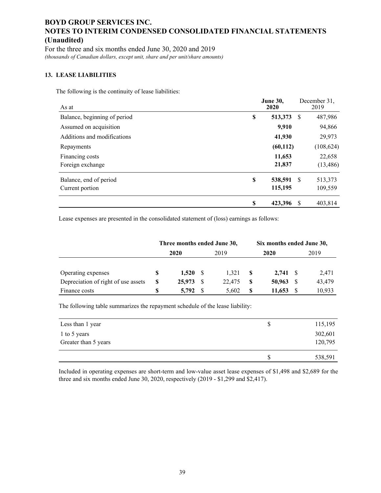For the three and six months ended June 30, 2020 and 2019 *(thousands of Canadian dollars, except unit, share and per unit/share amounts)*

#### **13. LEASE LIABILITIES**

The following is the continuity of lease liabilities:

| As at                        |    | <b>June 30,</b><br>2020 | December 31.<br>2019 |            |  |
|------------------------------|----|-------------------------|----------------------|------------|--|
| Balance, beginning of period | S  | 513,373                 | -S                   | 487,986    |  |
| Assumed on acquisition       |    | 9,910                   |                      | 94,866     |  |
| Additions and modifications  |    | 41,930                  |                      | 29,973     |  |
| Repayments                   |    | (60, 112)               |                      | (108, 624) |  |
| Financing costs              |    | 11,653                  |                      | 22,658     |  |
| Foreign exchange             |    | 21,837                  |                      | (13, 486)  |  |
| Balance, end of period       | \$ | 538,591                 | -S                   | 513,373    |  |
| Current portion              |    | 115,195                 |                      | 109,559    |  |
|                              | \$ | 423,396                 | <sup>S</sup>         | 403.814    |  |

Lease expenses are presented in the consolidated statement of (loss) earnings as follows:

|                                     |      | Three months ended June 30, |      |        | Six months ended June 30, |        |      |        |  |  |  |
|-------------------------------------|------|-----------------------------|------|--------|---------------------------|--------|------|--------|--|--|--|
|                                     | 2020 |                             |      | 2019   |                           | 2020   | 2019 |        |  |  |  |
|                                     |      |                             |      |        |                           |        |      |        |  |  |  |
| Operating expenses                  | S    | 1.520                       |      | 1.321  | S                         | 2.741  | - \$ | 2,471  |  |  |  |
| Depreciation of right of use assets | S    | 25,973                      | - \$ | 22,475 | S                         | 50,963 | - \$ | 43,479 |  |  |  |
| Finance costs                       | S    | 5.792                       |      | 5.602  | S                         | 11,653 |      | 10,933 |  |  |  |

The following table summarizes the repayment schedule of the lease liability:

| Less than 1 year     | S | 115,195 |
|----------------------|---|---------|
| 1 to 5 years         |   | 302,601 |
| Greater than 5 years |   | 120,795 |
|                      | S | 538,591 |

Included in operating expenses are short-term and low-value asset lease expenses of \$1,498 and \$2,689 for the three and six months ended June 30, 2020, respectively (2019 - \$1,299 and \$2,417).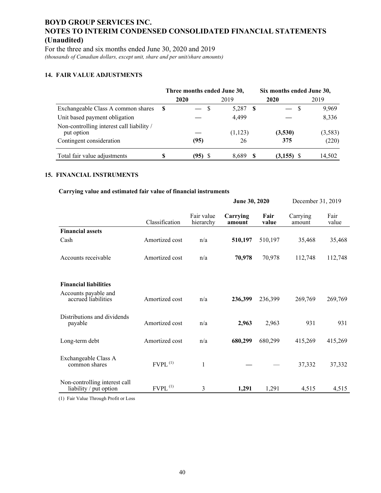### **(Unaudited)**

For the three and six months ended June 30, 2020 and 2019

*(thousands of Canadian dollars, except unit, share and per unit/share amounts)*

#### **14. FAIR VALUE ADJUSTMENTS**

|                                                         |      | Three months ended June 30, |    |          | Six months ended June 30, |              |         |  |
|---------------------------------------------------------|------|-----------------------------|----|----------|---------------------------|--------------|---------|--|
|                                                         |      | 2020                        |    | 2019     |                           | 2020         | 2019    |  |
| Exchangeable Class A common shares                      | - \$ |                             | -S | 5,287    | - S                       | -S           | 9,969   |  |
| Unit based payment obligation                           |      |                             |    | 4,499    |                           |              | 8,336   |  |
| Non-controlling interest call liability /<br>put option |      |                             |    | (1, 123) |                           | (3,530)      | (3,583) |  |
| Contingent consideration                                |      | (95)                        |    | 26       |                           | 375          | (220)   |  |
| Total fair value adjustments                            | S    | $(95)$ \$                   |    | 8.689    |                           | $(3,155)$ \$ | 14,502  |  |

#### **15. FINANCIAL INSTRUMENTS**

#### **Carrying value and estimated fair value of financial instruments**

|                                                                |                     |                         | June 30, 2020      |               | December 31, 2019  |               |
|----------------------------------------------------------------|---------------------|-------------------------|--------------------|---------------|--------------------|---------------|
|                                                                | Classification      | Fair value<br>hierarchy | Carrying<br>amount | Fair<br>value | Carrying<br>amount | Fair<br>value |
| <b>Financial assets</b>                                        |                     |                         |                    |               |                    |               |
| Cash                                                           | Amortized cost      | n/a                     | 510,197            | 510,197       | 35,468             | 35,468        |
| Accounts receivable                                            | Amortized cost      | n/a                     | 70,978             | 70,978        | 112,748            | 112,748       |
| <b>Financial liabilities</b>                                   |                     |                         |                    |               |                    |               |
| Accounts payable and<br>accrued liabilities                    | Amortized cost      | n/a                     | 236,399            | 236,399       | 269,769            | 269,769       |
| Distributions and dividends                                    |                     |                         |                    |               |                    |               |
| payable                                                        | Amortized cost      | n/a                     | 2,963              | 2,963         | 931                | 931           |
| Long-term debt                                                 | Amortized cost      | n/a                     | 680,299            | 680,299       | 415,269            | 415,269       |
| Exchangeable Class A<br>common shares                          | FVPL <sup>(1)</sup> | $\mathbf{1}$            |                    |               | 37,332             | 37,332        |
| Non-controlling interest call<br>liability $\prime$ put option | $FVPL^{(1)}$        | 3                       | 1,291              | 1,291         | 4,515              | 4,515         |

(1) Fair Value Through Profit or Loss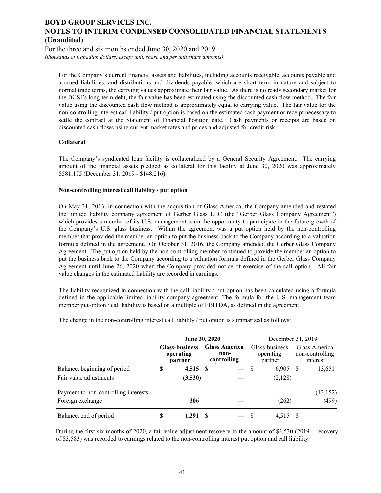For the three and six months ended June 30, 2020 and 2019

*(thousands of Canadian dollars, except unit, share and per unit/share amounts)*

For the Company's current financial assets and liabilities, including accounts receivable, accounts payable and accrued liabilities, and distributions and dividends payable, which are short term in nature and subject to normal trade terms, the carrying values approximate their fair value. As there is no ready secondary market for the BGSI's long-term debt, the fair value has been estimated using the discounted cash flow method. The fair value using the discounted cash flow method is approximately equal to carrying value. The fair value for the non-controlling interest call liability / put option is based on the estimated cash payment or receipt necessary to settle the contract at the Statement of Financial Position date. Cash payments or receipts are based on discounted cash flows using current market rates and prices and adjusted for credit risk.

#### **Collateral**

The Company's syndicated loan facility is collateralized by a General Security Agreement. The carrying amount of the financial assets pledged as collateral for this facility at June 30, 2020 was approximately \$581,175 (December 31, 2019 - \$148,216).

#### **Non-controlling interest call liability / put option**

On May 31, 2013, in connection with the acquisition of Glass America, the Company amended and restated the limited liability company agreement of Gerber Glass LLC (the "Gerber Glass Company Agreement") which provides a member of its U.S. management team the opportunity to participate in the future growth of the Company's U.S. glass business. Within the agreement was a put option held by the non-controlling member that provided the member an option to put the business back to the Company according to a valuation formula defined in the agreement. On October 31, 2016, the Company amended the Gerber Glass Company Agreement. The put option held by the non-controlling member continued to provide the member an option to put the business back to the Company according to a valuation formula defined in the Gerber Glass Company Agreement until June 26, 2020 when the Company provided notice of exercise of the call option. All fair value changes in the estimated liability are recorded in earnings.

The liability recognized in connection with the call liability / put option has been calculated using a formula defined in the applicable limited liability company agreement. The formula for the U.S. management team member put option / call liability is based on a multiple of EBITDA, as defined in the agreement.

The change in the non-controlling interest call liability / put option is summarized as follows:

|                                      |                                               | June 30, 2020 |  |                                             | December 31, 2019                      |     |                                              |  |  |
|--------------------------------------|-----------------------------------------------|---------------|--|---------------------------------------------|----------------------------------------|-----|----------------------------------------------|--|--|
|                                      | <b>Glass-business</b><br>operating<br>partner |               |  | <b>Glass America</b><br>non-<br>controlling | Glass-business<br>operating<br>partner |     | Glass America<br>non-controlling<br>interest |  |  |
| Balance, beginning of period         | S                                             | $4,515$ \$    |  |                                             | 6,905                                  | - S | 13,651                                       |  |  |
| Fair value adjustments               |                                               | (3,530)       |  |                                             | (2,128)                                |     |                                              |  |  |
| Payment to non-controlling interests |                                               |               |  |                                             |                                        |     | (13, 152)                                    |  |  |
| Foreign exchange                     |                                               | 306           |  |                                             | (262)                                  |     | (499)                                        |  |  |
| Balance, end of period               | S                                             | 1,291         |  |                                             | 4.515                                  |     |                                              |  |  |

During the first six months of 2020, a fair value adjustment recovery in the amount of \$3,530 (2019 – recovery of \$3,583) was recorded to earnings related to the non-controlling interest put option and call liability.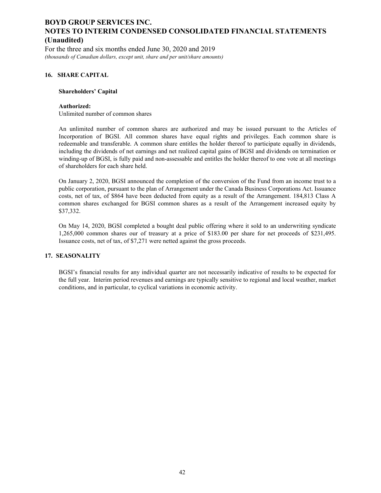For the three and six months ended June 30, 2020 and 2019 *(thousands of Canadian dollars, except unit, share and per unit/share amounts)*

#### **16. SHARE CAPITAL**

#### **Shareholders' Capital**

#### **Authorized:**

Unlimited number of common shares

An unlimited number of common shares are authorized and may be issued pursuant to the Articles of Incorporation of BGSI. All common shares have equal rights and privileges. Each common share is redeemable and transferable. A common share entitles the holder thereof to participate equally in dividends, including the dividends of net earnings and net realized capital gains of BGSI and dividends on termination or winding-up of BGSI, is fully paid and non-assessable and entitles the holder thereof to one vote at all meetings of shareholders for each share held.

On January 2, 2020, BGSI announced the completion of the conversion of the Fund from an income trust to a public corporation, pursuant to the plan of Arrangement under the Canada Business Corporations Act. Issuance costs, net of tax, of \$864 have been deducted from equity as a result of the Arrangement. 184,813 Class A common shares exchanged for BGSI common shares as a result of the Arrangement increased equity by \$37,332.

On May 14, 2020, BGSI completed a bought deal public offering where it sold to an underwriting syndicate 1,265,000 common shares our of treasury at a price of \$183.00 per share for net proceeds of \$231,495. Issuance costs, net of tax, of \$7,271 were netted against the gross proceeds.

#### **17. SEASONALITY**

BGSI's financial results for any individual quarter are not necessarily indicative of results to be expected for the full year. Interim period revenues and earnings are typically sensitive to regional and local weather, market conditions, and in particular, to cyclical variations in economic activity.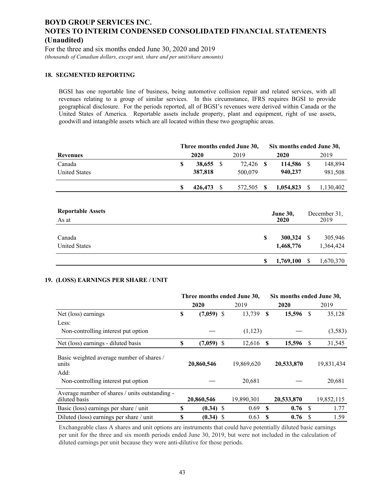For the three and six months ended June 30, 2020 and 2019

*(thousands of Canadian dollars, except unit, share and per unit/share amounts)*

#### **18. SEGMENTED REPORTING**

BGSI has one reportable line of business, being automotive collision repair and related services, with all revenues relating to a group of similar services. In this circumstance, IFRS requires BGSI to provide geographical disclosure. For the periods reported, all of BGSI's revenues were derived within Canada or the United States of America. Reportable assets include property, plant and equipment, right of use assets, goodwill and intangible assets which are all located within these two geographic areas.

|                                   | Three months ended June 30, |         |    |         |          | Six months ended June 30, |                      |                      |  |
|-----------------------------------|-----------------------------|---------|----|---------|----------|---------------------------|----------------------|----------------------|--|
| <b>Revenues</b>                   | 2020                        |         |    | 2019    |          | 2020                      |                      | 2019                 |  |
| Canada                            | \$                          | 38,655  | -S | 72,426  | <b>S</b> | 114,586                   | <sup>\$</sup>        | 148,894              |  |
| <b>United States</b>              |                             | 387,818 |    | 500,079 |          | 940,237                   |                      | 981,508              |  |
|                                   | \$                          | 426,473 | -S | 572,505 | S        | 1,054,823                 | <sup>S</sup>         | 1,130,402            |  |
| <b>Reportable Assets</b><br>As at |                             |         |    |         |          | <b>June 30,</b><br>2020   | December 31,<br>2019 |                      |  |
| Canada<br><b>United States</b>    |                             |         |    |         | S        | 300,324<br>1,468,776      | - S                  | 305,946<br>1,364,424 |  |
|                                   |                             |         |    |         | \$       | 1,769,100                 | S                    | 1,670,370            |  |

#### **19. (LOSS) EARNINGS PER SHARE / UNIT**

|                                                                 | Three months ended June 30, |              |  |             |    | Six months ended June 30, |               |            |
|-----------------------------------------------------------------|-----------------------------|--------------|--|-------------|----|---------------------------|---------------|------------|
|                                                                 |                             | 2020         |  | 2019        |    | 2020                      |               | 2019       |
| Net (loss) earnings                                             | \$                          | $(7,059)$ \$ |  | 13,739      | -S | 15,596                    | \$            | 35,128     |
| Less:                                                           |                             |              |  |             |    |                           |               |            |
| Non-controlling interest put option                             |                             |              |  | (1, 123)    |    |                           |               | (3,583)    |
| Net (loss) earnings - diluted basis                             | \$                          | $(7,059)$ \$ |  | $12,616$ \$ |    | 15,596                    | <sup>\$</sup> | 31,545     |
| Basic weighted average number of shares /<br>units              |                             | 20,860,546   |  | 19,869,620  |    | 20,533,870                |               | 19,831,434 |
| Add:                                                            |                             |              |  |             |    |                           |               |            |
| Non-controlling interest put option                             |                             |              |  | 20,681      |    |                           |               | 20,681     |
| Average number of shares / units outstanding -<br>diluted basis |                             | 20,860,546   |  | 19,890,301  |    | 20,533,870                |               | 19,852,115 |
| Basic (loss) earnings per share / unit                          | S                           | $(0.34)$ \$  |  | 0.69        | S  | 0.76                      | -\$           | 1.77       |
| Diluted (loss) earnings per share / unit                        | \$                          | $(0.34)$ \$  |  | 0.63        | S  | 0.76                      |               | 1.59       |

Exchangeable class A shares and unit options are instruments that could have potentially diluted basic earnings per unit for the three and six month periods ended June 30, 2019, but were not included in the calculation of diluted earnings per unit because they were anti-dilutive for those periods.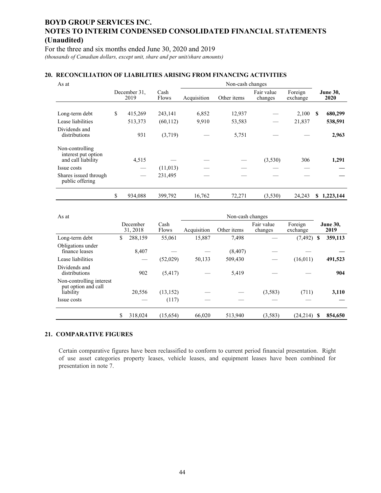For the three and six months ended June 30, 2020 and 2019

*(thousands of Canadian dollars, except unit, share and per unit/share amounts)*

#### **20. RECONCILIATION OF LIABILITIES ARISING FROM FINANCING ACTIVITIES**

| As at                                                        | Non-cash changes |                       |           |              |        |             |             |                       |                     |  |                         |
|--------------------------------------------------------------|------------------|-----------------------|-----------|--------------|--------|-------------|-------------|-----------------------|---------------------|--|-------------------------|
|                                                              |                  | Cash<br>2019<br>Flows |           | December 31. |        | Acquisition | Other items | Fair value<br>changes | Foreign<br>exchange |  | <b>June 30.</b><br>2020 |
| Long-term debt                                               | \$               | 415,269               | 243,141   | 6,852        | 12,937 |             | 2,100       | S                     | 680,299             |  |                         |
| Lease liabilities                                            |                  | 513,373               | (60, 112) | 9,910        | 53,583 |             | 21,837      |                       | 538,591             |  |                         |
| Dividends and<br>distributions                               |                  | 931                   | (3,719)   |              | 5,751  |             |             |                       | 2,963               |  |                         |
| Non-controlling<br>interest put option<br>and call liability |                  | 4,515                 |           |              |        | (3,530)     | 306         |                       | 1,291               |  |                         |
| Issue costs                                                  |                  |                       | (11, 013) |              |        |             |             |                       |                     |  |                         |
| Shares issued through<br>public offering                     |                  |                       | 231,495   |              |        |             |             |                       |                     |  |                         |
|                                                              | \$               | 934,088               | 399,792   | 16,762       | 72,271 | (3,530)     | 24,243      | S                     | 1,223,144           |  |                         |

| As at                                                        |                      |                      |             |             |                       |                     |    |                         |
|--------------------------------------------------------------|----------------------|----------------------|-------------|-------------|-----------------------|---------------------|----|-------------------------|
|                                                              | December<br>31, 2018 | Cash<br><b>Flows</b> | Acquisition | Other items | Fair value<br>changes | Foreign<br>exchange |    | <b>June 30,</b><br>2019 |
| Long-term debt                                               | \$<br>288,159        | 55,061               | 15,887      | 7,498       |                       | (7, 492)            | S  | 359,113                 |
| Obligations under<br>finance leases                          | 8,407                |                      |             | (8, 407)    |                       |                     |    |                         |
| Lease liabilities                                            |                      | (52,029)             | 50,133      | 509,430     |                       | (16,011)            |    | 491,523                 |
| Dividends and<br>distributions                               | 902                  | (5, 417)             |             | 5,419       |                       |                     |    | 904                     |
| Non-controlling interest<br>put option and call<br>liability | 20,556               | (13, 152)            |             |             | (3, 583)              | (711)               |    | 3,110                   |
| Issue costs                                                  |                      | (117)                |             |             |                       |                     |    |                         |
|                                                              | \$<br>318,024        | (15,654)             | 66,020      | 513,940     | (3,583)               | (24,214)            | -S | 854,650                 |

#### **21. COMPARATIVE FIGURES**

Certain comparative figures have been reclassified to conform to current period financial presentation. Right of use asset categories property leases, vehicle leases, and equipment leases have been combined for presentation in note 7.